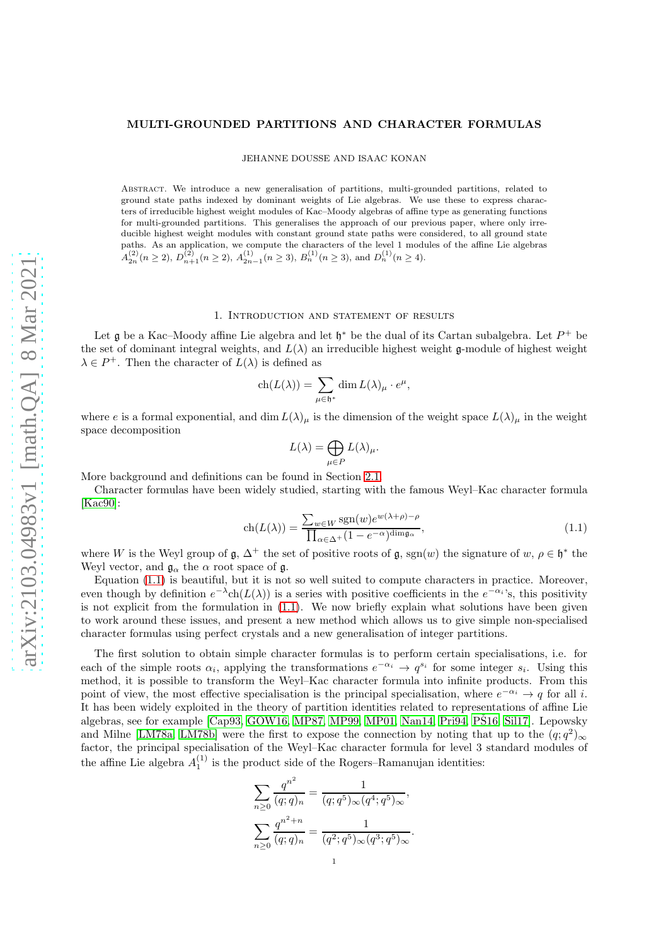JEHANNE DOUSSE AND ISAAC KONAN

Abstract. We introduce a new generalisation of partitions, multi-grounded partitions, related to ground state paths indexed by dominant weights of Lie algebras. We use these to express characters of irreducible highest weight modules of Kac–Moody algebras of affine type as generating functions for multi-grounded partitions. This generalises the approach of our previous paper, where only irreducible highest weight modules with constant ground state paths were considered, to all ground state paths. As an application, we compute the characters of the level 1 modules of the affine Lie algebras  $A_{2n}^{(2)}(n \ge 2), D_{n+1}^{(2)}(n \ge 2), A_{2n-1}^{(1)}(n \ge 3), B_n^{(1)}(n \ge 3)$ , and  $D_n^{(1)}(n \ge 4)$ .

### 1. Introduction and statement of results

Let  $\mathfrak g$  be a Kac–Moody affine Lie algebra and let  $\mathfrak h^*$  be the dual of its Cartan subalgebra. Let  $P^+$  be the set of dominant integral weights, and  $L(\lambda)$  an irreducible highest weight g-module of highest weight  $\lambda \in P^+$ . Then the character of  $L(\lambda)$  is defined as

$$
ch(L(\lambda)) = \sum_{\mu \in \mathfrak{h}^*} \dim L(\lambda)_{\mu} \cdot e^{\mu},
$$

where e is a formal exponential, and dim  $L(\lambda)_{\mu}$  is the dimension of the weight space  $L(\lambda)_{\mu}$  in the weight space decomposition

$$
L(\lambda)=\bigoplus_{\mu\in P}L(\lambda)_\mu.
$$

More background and definitions can be found in Section [2.1.](#page-4-0)

Character formulas have been widely studied, starting with the famous Weyl–Kac character formula [\[Kac90\]](#page-25-0):

<span id="page-0-0"></span>
$$
\operatorname{ch}(L(\lambda)) = \frac{\sum_{w \in W} \operatorname{sgn}(w) e^{w(\lambda + \rho) - \rho}}{\prod_{\alpha \in \Delta^+} (1 - e^{-\alpha})^{\dim \mathfrak{g}_{\alpha}}},\tag{1.1}
$$

where W is the Weyl group of  $\mathfrak{g}, \Delta^+$  the set of positive roots of  $\mathfrak{g}, \text{sgn}(w)$  the signature of  $w, \rho \in \mathfrak{h}^*$  the Weyl vector, and  $\mathfrak{g}_{\alpha}$  the  $\alpha$  root space of  $\mathfrak{g}$ .

Equation [\(1.1\)](#page-0-0) is beautiful, but it is not so well suited to compute characters in practice. Moreover, even though by definition  $e^{-\lambda}$ ch( $L(\lambda)$ ) is a series with positive coefficients in the  $e^{-\alpha_i}$ 's, this positivity is not explicit from the formulation in [\(1.1\)](#page-0-0). We now briefly explain what solutions have been given to work around these issues, and present a new method which allows us to give simple non-specialised character formulas using perfect crystals and a new generalisation of integer partitions.

The first solution to obtain simple character formulas is to perform certain specialisations, i.e. for each of the simple roots  $\alpha_i$ , applying the transformations  $e^{-\alpha_i} \to q^{s_i}$  for some integer  $s_i$ . Using this method, it is possible to transform the Weyl–Kac character formula into infinite products. From this point of view, the most effective specialisation is the principal specialisation, where  $e^{-\alpha_i} \to q$  for all i. It has been widely exploited in the theory of partition identities related to representations of affine Lie algebras, see for example  $[Cap93, GOW16, MP87, MP99, MP01, Nan14, Pri94, P<sub>i</sub>94, P<sub>j</sub>16, Sil17]$  $[Cap93, GOW16, MP87, MP99, MP01, Nan14, Pri94, P<sub>i</sub>94, P<sub>j</sub>16, Sil17]$  $[Cap93, GOW16, MP87, MP99, MP01, Nan14, Pri94, P<sub>i</sub>94, P<sub>j</sub>16, Sil17]$  $[Cap93, GOW16, MP87, MP99, MP01, Nan14, Pri94, P<sub>i</sub>94, P<sub>j</sub>16, Sil17]$  $[Cap93, GOW16, MP87, MP99, MP01, Nan14, Pri94, P<sub>i</sub>94, P<sub>j</sub>16, Sil17]$  $[Cap93, GOW16, MP87, MP99, MP01, Nan14, Pri94, P<sub>i</sub>94, P<sub>j</sub>16, Sil17]$  $[Cap93, GOW16, MP87, MP99, MP01, Nan14, Pri94, P<sub>i</sub>94, P<sub>j</sub>16, Sil17]$  $[Cap93, GOW16, MP87, MP99, MP01, Nan14, Pri94, P<sub>i</sub>94, P<sub>j</sub>16, Sil17]$  $[Cap93, GOW16, MP87, MP99, MP01, Nan14, Pri94, P<sub>i</sub>94, P<sub>j</sub>16, Sil17]$ . Lepowsky and Milne [\[LM78a,](#page-25-10) [LM78b\]](#page-25-11) were the first to expose the connection by noting that up to the  $(q; q^2)_{\infty}$ factor, the principal specialisation of the Weyl–Kac character formula for level 3 standard modules of the affine Lie algebra  $A_1^{(1)}$  is the product side of the Rogers–Ramanujan identities:

$$
\sum_{n\geq 0} \frac{q^{n^2}}{(q;q)_n} = \frac{1}{(q;q^5)_{\infty} (q^4;q^5)_{\infty}},
$$

$$
\sum_{n\geq 0} \frac{q^{n^2+n}}{(q;q)_n} = \frac{1}{(q^2;q^5)_{\infty} (q^3;q^5)_{\infty}}.
$$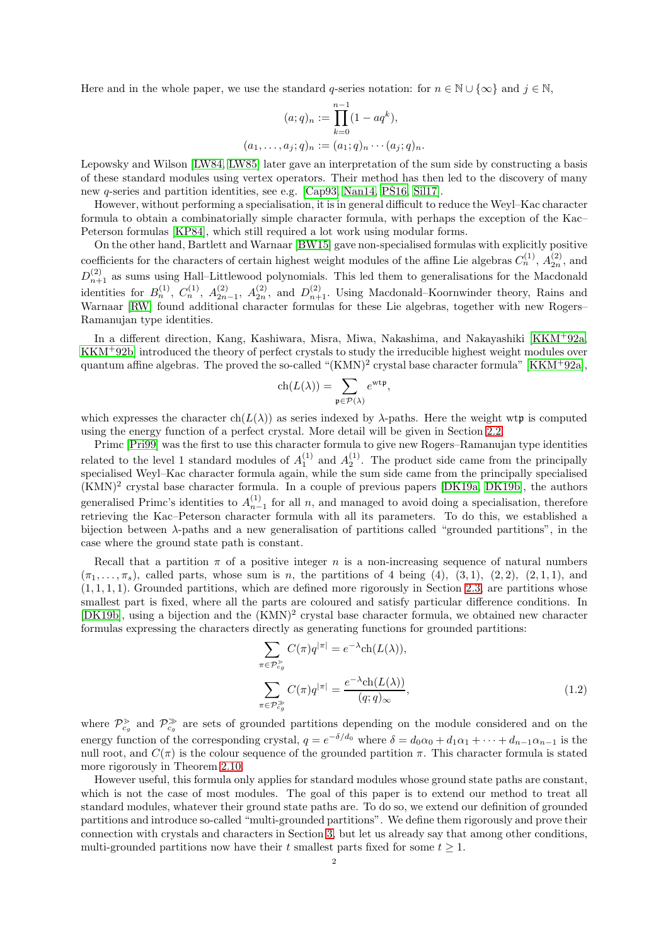Here and in the whole paper, we use the standard q-series notation: for  $n \in \mathbb{N} \cup {\infty}$  and  $j \in \mathbb{N}$ ,

$$
(a;q)_n := \prod_{k=0}^{n-1} (1 - aq^k),
$$
  

$$
(a_1, \dots, a_j; q)_n := (a_1; q)_n \cdots (a_j; q)_n.
$$

Lepowsky and Wilson [\[LW84,](#page-25-12) [LW85\]](#page-25-13) later gave an interpretation of the sum side by constructing a basis of these standard modules using vertex operators. Their method has then led to the discovery of many new q-series and partition identities, see e.g. [\[Cap93,](#page-25-1) [Nan14,](#page-25-6) [PS16,](#page-25-8) [Sil17\]](#page-25-9).

However, without performing a specialisation, it is in general difficult to reduce the Weyl–Kac character formula to obtain a combinatorially simple character formula, with perhaps the exception of the Kac– Peterson formulas [\[KP84\]](#page-25-14), which still required a lot work using modular forms.

On the other hand, Bartlett and Warnaar [\[BW15\]](#page-25-15) gave non-specialised formulas with explicitly positive coefficients for the characters of certain highest weight modules of the affine Lie algebras  $C_n^{(1)}$ ,  $A_{2n}^{(2)}$ , and  $D_{n+1}^{(2)}$  as sums using Hall–Littlewood polynomials. This led them to generalisations for the Macdonald identities for  $B_n^{(1)}$ ,  $C_n^{(1)}$ ,  $A_{2n-1}^{(2)}$ ,  $A_{2n}^{(2)}$ , and  $D_{n+1}^{(2)}$ . Using Macdonald–Koornwinder theory, Rains and Warnaar [\[RW\]](#page-25-16) found additional character formulas for these Lie algebras, together with new Rogers– Ramanujan type identities.

In a different direction, Kang, Kashiwara, Misra, Miwa, Nakashima, and Nakayashiki [\[KKM](#page-25-17)<sup>+</sup>92a, [KKM](#page-25-18)<sup>+</sup>92b] introduced the theory of perfect crystals to study the irreducible highest weight modules over quantum affine algebras. The proved the so-called "(KMN)<sup>2</sup> crystal base character formula" [\[KKM](#page-25-17)<sup>+</sup>92a],

$$
\operatorname{ch}(L(\lambda)) = \sum_{\mathfrak{p} \in \mathcal{P}(\lambda)} e^{\operatorname{wt} \mathfrak{p}},
$$

which expresses the character ch( $L(\lambda)$ ) as series indexed by  $\lambda$ -paths. Here the weight wtp is computed using the energy function of a perfect crystal. More detail will be given in Section [2.2.](#page-5-0)

Primc [\[Pri99\]](#page-25-19) was the first to use this character formula to give new Rogers–Ramanujan type identities related to the level 1 standard modules of  $A_1^{(1)}$  and  $A_2^{(1)}$ . The product side came from the principally specialised Weyl–Kac character formula again, while the sum side came from the principally specialised (KMN)<sup>2</sup> crystal base character formula. In a couple of previous papers [\[DK19a,](#page-25-20) [DK19b\]](#page-25-21), the authors generalised Primc's identities to  $A_{n-1}^{(1)}$  for all n, and managed to avoid doing a specialisation, therefore retrieving the Kac–Peterson character formula with all its parameters. To do this, we established a bijection between  $\lambda$ -paths and a new generalisation of partitions called "grounded partitions", in the case where the ground state path is constant.

Recall that a partition  $\pi$  of a positive integer n is a non-increasing sequence of natural numbers  $(\pi_1, \ldots, \pi_s)$ , called parts, whose sum is n, the partitions of 4 being (4), (3, 1), (2, 2), (2, 1, 1), and  $(1, 1, 1, 1)$ . Grounded partitions, which are defined more rigorously in Section [2.3,](#page-7-0) are partitions whose smallest part is fixed, where all the parts are coloured and satisfy particular difference conditions. In [\[DK19b\]](#page-25-21), using a bijection and the  $(KMN)^2$  crystal base character formula, we obtained new character formulas expressing the characters directly as generating functions for grounded partitions:

<span id="page-1-0"></span>
$$
\sum_{\pi \in \mathcal{P}_{cg}^{\geq}} C(\pi)q^{|\pi|} = e^{-\lambda} \text{ch}(L(\lambda)),
$$
\n
$$
\sum_{\pi \in \mathcal{P}_{cg}^{\geq}} C(\pi)q^{|\pi|} = \frac{e^{-\lambda} \text{ch}(L(\lambda))}{(q;q)_{\infty}},
$$
\n(1.2)

where  $\mathcal{P}_{c_g}^{\geq}$  and  $\mathcal{P}_{c_g}^{\geq}$  are sets of grounded partitions depending on the module considered and on the energy function of the corresponding crystal,  $q = e^{-\delta/d_0}$  where  $\delta = d_0 \alpha_0 + d_1 \alpha_1 + \cdots + d_{n-1} \alpha_{n-1}$  is the null root, and  $C(\pi)$  is the colour sequence of the grounded partition  $\pi$ . This character formula is stated more rigorously in Theorem [2.10.](#page-7-1)

However useful, this formula only applies for standard modules whose ground state paths are constant, which is not the case of most modules. The goal of this paper is to extend our method to treat all standard modules, whatever their ground state paths are. To do so, we extend our definition of grounded partitions and introduce so-called "multi-grounded partitions". We define them rigorously and prove their connection with crystals and characters in Section [3,](#page-8-0) but let us already say that among other conditions, multi-grounded partitions now have their t smallest parts fixed for some  $t \geq 1$ .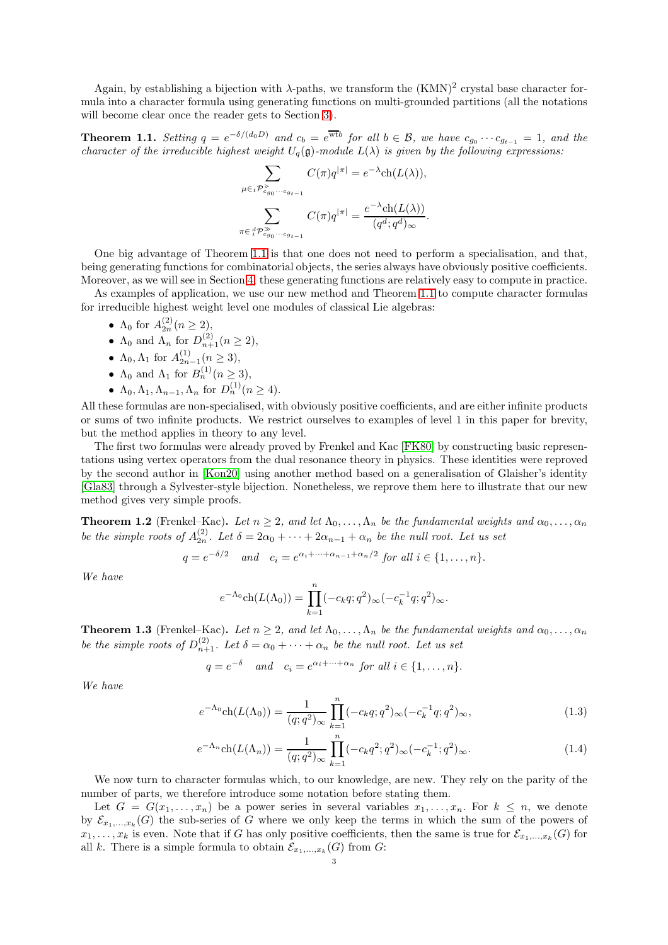Again, by establishing a bijection with  $\lambda$ -paths, we transform the  $(KMN)^2$  crystal base character formula into a character formula using generating functions on multi-grounded partitions (all the notations will become clear once the reader gets to Section [3\)](#page-8-0).

<span id="page-2-0"></span>**Theorem 1.1.** Setting  $q = e^{-\delta/(d_0 D)}$  and  $c_b = e^{\overline{w}t}$  for all  $b \in \mathcal{B}$ , we have  $c_{g_0} \cdots c_{g_{t-1}} = 1$ , and the character of the irreducible highest weight  $U_q(\mathfrak{g})$ -module  $L(\lambda)$  is given by the following expressions:

$$
\sum_{\mu \in t \mathcal{P}_{c_{g_0} \cdots c_{g_{t-1}}}^{\geq} C(\pi) q^{|\pi|} = e^{-\lambda} \text{ch}(L(\lambda)),
$$

$$
\sum_{\pi \in \, t \mathcal{P}_{c_{g_0} \cdots c_{g_{t-1}}}^{\geq} C(\pi) q^{|\pi|} = \frac{e^{-\lambda} \text{ch}(L(\lambda))}{(q^d; q^d)_{\infty}}.
$$

One big advantage of Theorem [1.1](#page-2-0) is that one does not need to perform a specialisation, and that, being generating functions for combinatorial objects, the series always have obviously positive coefficients. Moreover, as we will see in Section [4,](#page-14-0) these generating functions are relatively easy to compute in practice.

As examples of application, we use our new method and Theorem [1.1](#page-2-0) to compute character formulas for irreducible highest weight level one modules of classical Lie algebras:

- $\Lambda_0$  for  $A_{2n}^{(2)} (n \ge 2)$ ,
- $\Lambda_0$  and  $\Lambda_n$  for  $D_{n+1}^{(2)}(n \geq 2)$ ,
- $\Lambda_0, \Lambda_1$  for  $A_{2n-1}^{(1)} (n \ge 3)$ ,
- $\Lambda_0$  and  $\Lambda_1$  for  $B_n^{(1)}(n \geq 3)$ ,
- $\Lambda_0, \Lambda_1, \Lambda_{n-1}, \Lambda_n$  for  $D_n^{(1)}(n \ge 4)$ .

All these formulas are non-specialised, with obviously positive coefficients, and are either infinite products or sums of two infinite products. We restrict ourselves to examples of level 1 in this paper for brevity, but the method applies in theory to any level.

The first two formulas were already proved by Frenkel and Kac [\[FK80\]](#page-25-22) by constructing basic representations using vertex operators from the dual resonance theory in physics. These identities were reproved by the second author in [\[Kon20\]](#page-25-23) using another method based on a generalisation of Glaisher's identity [\[Gla83\]](#page-25-24) through a Sylvester-style bijection. Nonetheless, we reprove them here to illustrate that our new method gives very simple proofs.

<span id="page-2-1"></span>**Theorem 1.2** (Frenkel–Kac). Let  $n \geq 2$ , and let  $\Lambda_0, \ldots, \Lambda_n$  be the fundamental weights and  $\alpha_0, \ldots, \alpha_n$ be the simple roots of  $A_{2n}^{(2)}$ . Let  $\delta = 2\alpha_0 + \cdots + 2\alpha_{n-1} + \alpha_n$  be the null root. Let us set

$$
q = e^{-\delta/2} \quad and \quad c_i = e^{\alpha_i + \dots + \alpha_{n-1} + \alpha_n/2} \text{ for all } i \in \{1, \dots, n\}.
$$

We have

<span id="page-2-3"></span>
$$
e^{-\Lambda_0} \text{ch}(L(\Lambda_0)) = \prod_{k=1}^n (-c_k q; q^2)_{\infty} (-c_k^{-1} q; q^2)_{\infty}.
$$

<span id="page-2-2"></span>**Theorem 1.3** (Frenkel–Kac). Let  $n \geq 2$ , and let  $\Lambda_0, \ldots, \Lambda_n$  be the fundamental weights and  $\alpha_0, \ldots, \alpha_n$ be the simple roots of  $D_{n+1}^{(2)}$ . Let  $\delta = \alpha_0 + \cdots + \alpha_n$  be the null root. Let us set

$$
q = e^{-\delta} \quad and \quad c_i = e^{\alpha_i + \dots + \alpha_n} \text{ for all } i \in \{1, \dots, n\}.
$$

We have

$$
e^{-\Lambda_0} \text{ch}(L(\Lambda_0)) = \frac{1}{(q;q^2)_{\infty}} \prod_{k=1}^n (-c_k q;q^2)_{\infty} (-c_k^{-1} q;q^2)_{\infty},\tag{1.3}
$$

<span id="page-2-4"></span>
$$
e^{-\Lambda_n} \text{ch}(L(\Lambda_n)) = \frac{1}{(q;q^2)_{\infty}} \prod_{k=1}^n (-c_k q^2; q^2)_{\infty} (-c_k^{-1}; q^2)_{\infty}.
$$
 (1.4)

We now turn to character formulas which, to our knowledge, are new. They rely on the parity of the number of parts, we therefore introduce some notation before stating them.

Let  $G = G(x_1, \ldots, x_n)$  be a power series in several variables  $x_1, \ldots, x_n$ . For  $k \leq n$ , we denote by  $\mathcal{E}_{x_1,\dots,x_k}(G)$  the sub-series of G where we only keep the terms in which the sum of the powers of  $x_1, \ldots, x_k$  is even. Note that if G has only positive coefficients, then the same is true for  $\mathcal{E}_{x_1,\ldots,x_k}(G)$  for all k. There is a simple formula to obtain  $\mathcal{E}_{x_1,\ldots,x_k}(G)$  from G: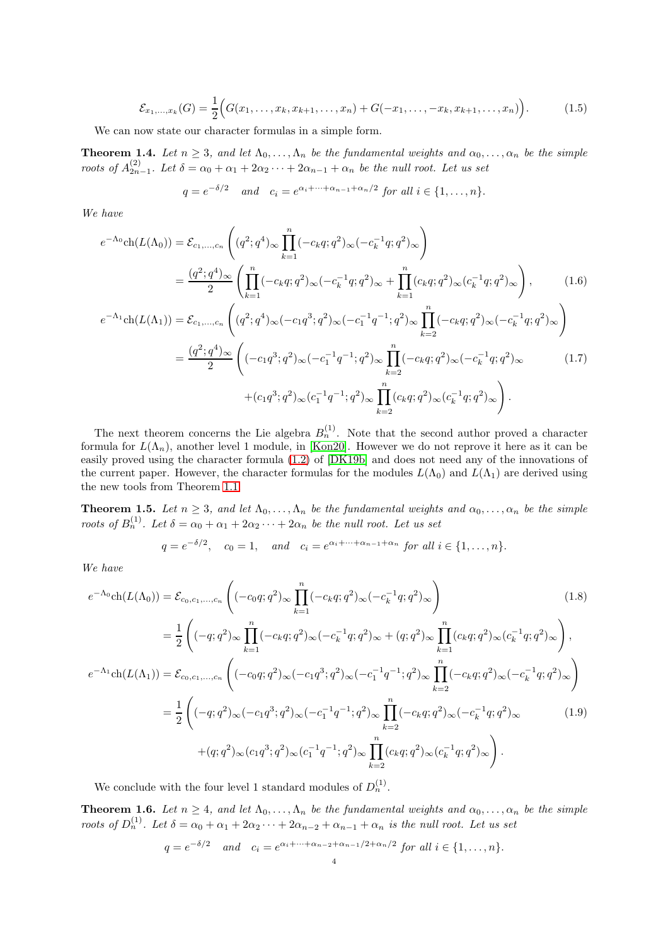<span id="page-3-2"></span>
$$
\mathcal{E}_{x_1,\dots,x_k}(G) = \frac{1}{2} \Big( G(x_1,\dots,x_k,x_{k+1},\dots,x_n) + G(-x_1,\dots,-x_k,x_{k+1},\dots,x_n) \Big). \tag{1.5}
$$

We can now state our character formulas in a simple form.

<span id="page-3-1"></span>**Theorem 1.4.** Let  $n \geq 3$ , and let  $\Lambda_0, \ldots, \Lambda_n$  be the fundamental weights and  $\alpha_0, \ldots, \alpha_n$  be the simple roots of  $A_{2n-1}^{(2)}$ . Let  $\delta = \alpha_0 + \alpha_1 + 2\alpha_2 + \cdots + 2\alpha_{n-1} + \alpha_n$  be the null root. Let us set

<span id="page-3-3"></span>
$$
q = e^{-\delta/2} \quad \text{and} \quad c_i = e^{\alpha_i + \dots + \alpha_{n-1} + \alpha_n/2} \text{ for all } i \in \{1, \dots, n\}.
$$

We have

$$
e^{-\Lambda_0} \text{ch}(L(\Lambda_0)) = \mathcal{E}_{c_1, ..., c_n} \left( (q^2; q^4)_{\infty} \prod_{k=1}^n (-c_k q; q^2)_{\infty} (-c_k^{-1} q; q^2)_{\infty} \right)
$$
  
\n
$$
= \frac{(q^2; q^4)_{\infty}}{2} \left( \prod_{k=1}^n (-c_k q; q^2)_{\infty} (-c_k^{-1} q; q^2)_{\infty} + \prod_{k=1}^n (c_k q; q^2)_{\infty} (c_k^{-1} q; q^2)_{\infty} \right), \qquad (1.6)
$$
  
\n
$$
e^{-\Lambda_1} \text{ch}(L(\Lambda_1)) = \mathcal{E}_{c_1, ..., c_n} \left( (q^2; q^4)_{\infty} (-c_1 q^3; q^2)_{\infty} (-c_1^{-1} q^{-1}; q^2)_{\infty} \prod_{k=2}^n (-c_k q; q^2)_{\infty} (-c_k^{-1} q; q^2)_{\infty} \right)
$$
  
\n
$$
= \frac{(q^2; q^4)_{\infty}}{2} \left( (-c_1 q^3; q^2)_{\infty} (-c_1^{-1} q^{-1}; q^2)_{\infty} \prod_{k=2}^n (-c_k q; q^2)_{\infty} (-c_k^{-1} q; q^2)_{\infty} + (c_1 q^3; q^2)_{\infty} (c_1^{-1} q^{-1}; q^2)_{\infty} \prod_{k=2}^n (c_k q; q^2)_{\infty} (c_k^{-1} q; q^2)_{\infty} \right).
$$
  
\n(1.7)

The next theorem concerns the Lie algebra  $B_n^{(1)}$ . Note that the second author proved a character formula for  $L(\Lambda_n)$ , another level 1 module, in [\[Kon20\]](#page-25-23). However we do not reprove it here as it can be easily proved using the character formula [\(1.2\)](#page-1-0) of [\[DK19b\]](#page-25-21) and does not need any of the innovations of the current paper. However, the character formulas for the modules  $L(\Lambda_0)$  and  $L(\Lambda_1)$  are derived using the new tools from Theorem [1.1.](#page-2-0)

<span id="page-3-4"></span>**Theorem 1.5.** Let  $n \geq 3$ , and let  $\Lambda_0, \ldots, \Lambda_n$  be the fundamental weights and  $\alpha_0, \ldots, \alpha_n$  be the simple roots of  $B_n^{(1)}$ . Let  $\delta = \alpha_0 + \alpha_1 + 2\alpha_2 \cdots + 2\alpha_n$  be the null root. Let us set

<span id="page-3-5"></span>
$$
q = e^{-\delta/2}
$$
,  $c_0 = 1$ , and  $c_i = e^{\alpha_i + \dots + \alpha_{n-1} + \alpha_n}$  for all  $i \in \{1, ..., n\}$ .

We have

$$
e^{-\Lambda_0} \text{ch}(L(\Lambda_0)) = \mathcal{E}_{c_0, c_1, \dots, c_n} \left( (-c_0 q; q^2)_{\infty} \prod_{k=1}^n (-c_k q; q^2)_{\infty} (-c_k^{-1} q; q^2)_{\infty} \right)
$$
\n
$$
= \frac{1}{2} \left( (-q; q^2)_{\infty} \prod_{k=1}^n (-c_k q; q^2)_{\infty} (-c_k^{-1} q; q^2)_{\infty} + (q; q^2)_{\infty} \prod_{k=1}^n (c_k q; q^2)_{\infty} (c_k^{-1} q; q^2)_{\infty} \right),
$$
\n
$$
e^{-\Lambda_1} \text{ch}(L(\Lambda_1)) = \mathcal{E}_{c_0, c_1, \dots, c_n} \left( (-c_0 q; q^2)_{\infty} (-c_1 q^3; q^2)_{\infty} (-c_1^{-1} q^{-1}; q^2)_{\infty} \prod_{k=2}^n (-c_k q; q^2)_{\infty} (-c_k^{-1} q; q^2)_{\infty} \right)
$$
\n
$$
= \frac{1}{2} \left( (-q; q^2)_{\infty} (-c_1 q^3; q^2)_{\infty} (-c_1^{-1} q^{-1}; q^2)_{\infty} \prod_{k=2}^n (-c_k q; q^2)_{\infty} (-c_k^{-1} q; q^2)_{\infty} + (q; q^2)_{\infty} (c_1 q^3; q^2)_{\infty} (c_1^{-1} q^{-1}; q^2)_{\infty} \prod_{k=2}^n (c_k q; q^2)_{\infty} (c_k^{-1} q; q^2)_{\infty} \right).
$$
\n(1.9)

We conclude with the four level 1 standard modules of  $D_n^{(1)}$ .

<span id="page-3-0"></span>**Theorem 1.6.** Let  $n \geq 4$ , and let  $\Lambda_0, \ldots, \Lambda_n$  be the fundamental weights and  $\alpha_0, \ldots, \alpha_n$  be the simple roots of  $D_n^{(1)}$ . Let  $\delta = \alpha_0 + \alpha_1 + 2\alpha_2 \cdots + 2\alpha_{n-2} + \alpha_{n-1} + \alpha_n$  is the null root. Let us set

<span id="page-3-6"></span>
$$
q = e^{-\delta/2} \quad \text{and} \quad c_i = e^{\alpha_i + \dots + \alpha_{n-2} + \alpha_{n-1}/2 + \alpha_n/2} \text{ for all } i \in \{1, \dots, n\}.
$$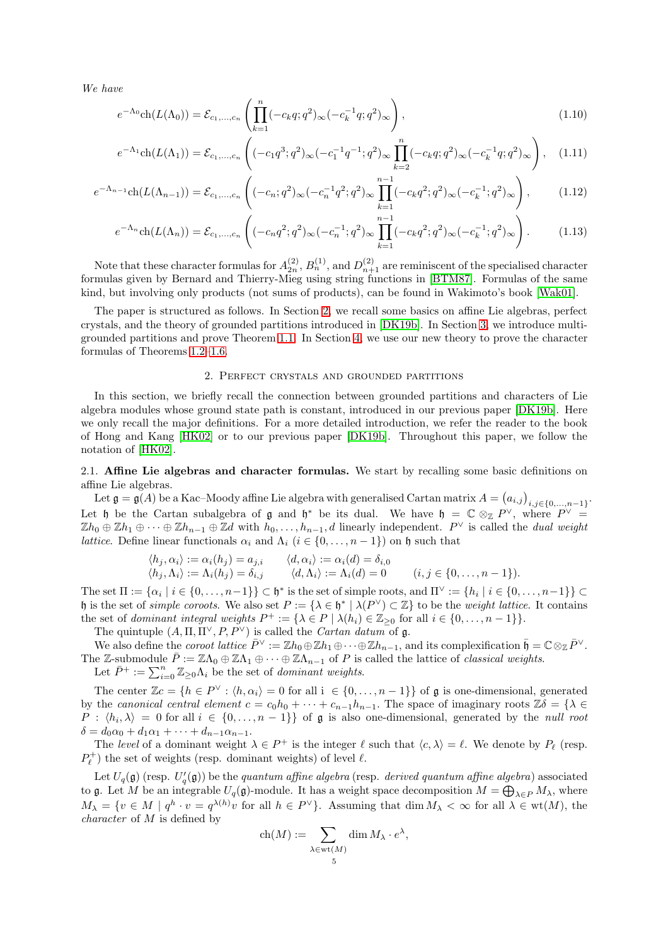We have

$$
e^{-\Lambda_0} \text{ch}(L(\Lambda_0)) = \mathcal{E}_{c_1, ..., c_n} \left( \prod_{k=1}^n (-c_k q; q^2)_{\infty} (-c_k^{-1} q; q^2)_{\infty} \right), \qquad (1.10)
$$

$$
e^{-\Lambda_1} \text{ch}(L(\Lambda_1)) = \mathcal{E}_{c_1,\dots,c_n} \left( (-c_1 q^3; q^2)_{\infty} (-c_1^{-1} q^{-1}; q^2)_{\infty} \prod_{k=2}^n (-c_k q; q^2)_{\infty} (-c_k^{-1} q; q^2)_{\infty} \right), \quad (1.11)
$$

$$
e^{-\Lambda_{n-1}} \text{ch}(L(\Lambda_{n-1})) = \mathcal{E}_{c_1, \dots, c_n} \left( (-c_n; q^2)_{\infty} (-c_n^{-1} q^2; q^2)_{\infty} \prod_{k=1}^{n-1} (-c_k q^2; q^2)_{\infty} (-c_k^{-1}; q^2)_{\infty} \right), \tag{1.12}
$$

$$
e^{-\Lambda_n} \text{ch}(L(\Lambda_n)) = \mathcal{E}_{c_1, \dots, c_n} \left( (-c_n q^2; q^2)_{\infty} (-c_n^{-1}; q^2)_{\infty} \prod_{k=1}^{n-1} (-c_k q^2; q^2)_{\infty} (-c_k^{-1}; q^2)_{\infty} \right). \tag{1.13}
$$

Note that these character formulas for  $A_{2n}^{(2)}$ ,  $B_n^{(1)}$ , and  $D_{n+1}^{(2)}$  are reminiscent of the specialised character formulas given by Bernard and Thierry-Mieg using string functions in [\[BTM87\]](#page-25-25). Formulas of the same kind, but involving only products (not sums of products), can be found in Wakimoto's book [\[Wak01\]](#page-25-26).

The paper is structured as follows. In Section [2,](#page-4-1) we recall some basics on affine Lie algebras, perfect crystals, and the theory of grounded partitions introduced in [\[DK19b\]](#page-25-21). In Section [3,](#page-8-0) we introduce multigrounded partitions and prove Theorem [1.1.](#page-2-0) In Section [4,](#page-14-0) we use our new theory to prove the character formulas of Theorems [1.2–](#page-2-1)[1.6.](#page-3-0)

## <span id="page-4-3"></span><span id="page-4-2"></span>2. Perfect crystals and grounded partitions

<span id="page-4-1"></span>In this section, we briefly recall the connection between grounded partitions and characters of Lie algebra modules whose ground state path is constant, introduced in our previous paper [\[DK19b\]](#page-25-21). Here we only recall the major definitions. For a more detailed introduction, we refer the reader to the book of Hong and Kang [\[HK02\]](#page-25-27) or to our previous paper [\[DK19b\]](#page-25-21). Throughout this paper, we follow the notation of [\[HK02\]](#page-25-27).

<span id="page-4-0"></span>2.1. Affine Lie algebras and character formulas. We start by recalling some basic definitions on affine Lie algebras.

Let  $\mathfrak{g} = \tilde{\mathfrak{g}(A)}$  be a Kac–Moody affine Lie algebra with generalised Cartan matrix  $A = (a_{i,j})_{i,j \in \{0,...,n-1\}}$ . Let h be the Cartan subalgebra of  $\mathfrak g$  and  $\mathfrak h^*$  be its dual. We have  $\mathfrak h = \mathbb C \otimes_{\mathbb Z} P^{\vee}$ , where  $P^{\vee} =$  $\mathbb{Z}h_0 \oplus \mathbb{Z}h_1 \oplus \cdots \oplus \mathbb{Z}h_{n-1} \oplus \mathbb{Z}d$  with  $h_0, \ldots, h_{n-1}, d$  linearly independent.  $P^{\vee}$  is called the *dual weight lattice.* Define linear functionals  $\alpha_i$  and  $\Lambda_i$  ( $i \in \{0, \ldots, n-1\}$ ) on h such that

$$
\langle h_j, \alpha_i \rangle := \alpha_i(h_j) = a_{j,i} \qquad \langle d, \alpha_i \rangle := \alpha_i(d) = \delta_{i,0}
$$
  

$$
\langle h_j, \Lambda_i \rangle := \Lambda_i(h_j) = \delta_{i,j} \qquad \langle d, \Lambda_i \rangle := \Lambda_i(d) = 0 \qquad (i, j \in \{0, \dots, n-1\}).
$$

The set  $\Pi := \{\alpha_i \mid i \in \{0, \ldots, n-1\}\} \subset \mathfrak{h}^*$  is the set of simple roots, and  $\Pi^{\vee} := \{h_i \mid i \in \{0, \ldots, n-1\}\} \subset$ h is the set of *simple coroots*. We also set  $P := {\lambda \in \mathfrak{h}^* \mid \lambda(P^{\vee}) \subset \mathbb{Z}}$  to be the *weight lattice*. It contains the set of *dominant integral weights*  $P^+ := {\lambda \in P \mid \lambda(h_i) \in \mathbb{Z}_{\geq 0} \text{ for all } i \in \{0, \ldots, n-1\}}.$ 

The quintuple  $(A, \Pi, \Pi^{\vee}, P, P^{\vee})$  is called the *Cartan datum* of g.

We also define the coroot lattice  $\bar{P}^{\vee} := \mathbb{Z}h_0 \oplus \mathbb{Z}h_1 \oplus \cdots \oplus \mathbb{Z}h_{n-1}$ , and its complexification  $\bar{\mathfrak{h}} = \mathbb{C} \otimes_{\mathbb{Z}} \bar{P}^{\vee}$ . The Z-submodule  $\bar{P} := \mathbb{Z}\Lambda_0 \oplus \mathbb{Z}\Lambda_1 \oplus \cdots \oplus \mathbb{Z}\Lambda_{n-1}$  of P is called the lattice of *classical weights.* 

Let  $\bar{P}^+ := \sum_{i=0}^n \mathbb{Z}_{\geq 0} \Lambda_i$  be the set of *dominant weights*.

The center  $\mathbb{Z}c = \{h \in P^{\vee} : \langle h, \alpha_i \rangle = 0 \text{ for all } i \in \{0, ..., n-1\}\}\$  of  $\mathfrak g$  is one-dimensional, generated by the canonical central element  $c = c_0h_0 + \cdots + c_{n-1}h_{n-1}$ . The space of imaginary roots  $\mathbb{Z}\delta = \{\lambda \in \mathbb{Z}\}$  $P : \langle h_i, \lambda \rangle = 0$  for all  $i \in \{0, ..., n-1\}$  of  $\mathfrak g$  is also one-dimensional, generated by the *null root*  $\delta = d_0 \alpha_0 + d_1 \alpha_1 + \cdots + d_{n-1} \alpha_{n-1}.$ 

The level of a dominant weight  $\lambda \in P^+$  is the integer  $\ell$  such that  $\langle c, \lambda \rangle = \ell$ . We denote by  $P_\ell$  (resp.  $P_{\ell}^+$ ) the set of weights (resp. dominant weights) of level  $\ell.$ 

Let  $U_q(\mathfrak{g})$  (resp.  $U'_q(\mathfrak{g})$ ) be the quantum affine algebra (resp. derived quantum affine algebra) associated to g. Let M be an integrable  $U_q(\mathfrak{g})$ -module. It has a weight space decomposition  $M=\bigoplus_{\lambda\in P}M_\lambda$ , where  $M_{\lambda} = \{v \in M \mid q^h \cdot v = q^{\lambda(h)}v \text{ for all } h \in P^{\vee}\}.$  Assuming that  $\dim M_{\lambda} < \infty$  for all  $\lambda \in \text{wt}(M)$ , the character of M is defined by

$$
\operatorname{ch}(M) := \sum_{\substack{\lambda \in \operatorname{wt}(M) \\ 5}} \dim M_{\lambda} \cdot e^{\lambda},
$$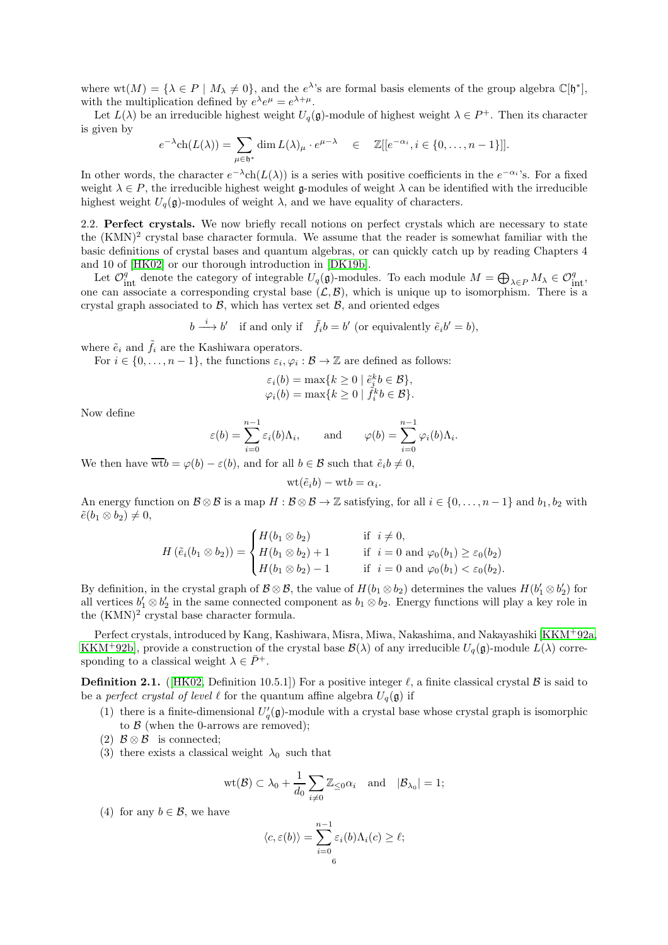where  $wt(M) = \{ \lambda \in P \mid M_{\lambda} \neq 0 \}$ , and the  $e^{\lambda s}$  are formal basis elements of the group algebra  $\mathbb{C}[\mathfrak{h}^*]$ , with the multiplication defined by  $e^{\lambda}e^{\mu} = e^{\lambda + \mu}$ .

Let  $L(\lambda)$  be an irreducible highest weight  $U_q(\mathfrak{g})$ -module of highest weight  $\lambda \in P^+$ . Then its character is given by

$$
e^{-\lambda} \text{ch}(L(\lambda)) = \sum_{\mu \in \mathfrak{h}^*} \dim L(\lambda)_{\mu} \cdot e^{\mu - \lambda} \quad \in \quad \mathbb{Z}[[e^{-\alpha_i}, i \in \{0, \dots, n-1\}]].
$$

In other words, the character  $e^{-\lambda}$ ch $(L(\lambda))$  is a series with positive coefficients in the  $e^{-\alpha_i}$ 's. For a fixed weight  $\lambda \in P$ , the irreducible highest weight  $\mathfrak g$ -modules of weight  $\lambda$  can be identified with the irreducible highest weight  $U_q(\mathfrak{g})$ -modules of weight  $\lambda$ , and we have equality of characters.

<span id="page-5-0"></span>2.2. Perfect crystals. We now briefly recall notions on perfect crystals which are necessary to state the (KMN)<sup>2</sup> crystal base character formula. We assume that the reader is somewhat familiar with the basic definitions of crystal bases and quantum algebras, or can quickly catch up by reading Chapters 4 and 10 of [\[HK02\]](#page-25-27) or our thorough introduction in [\[DK19b\]](#page-25-21).

Let  $\mathcal{O}_{int}^q$  denote the category of integrable  $U_q(\mathfrak{g})$ -modules. To each module  $M = \bigoplus_{\lambda \in P} M_{\lambda} \in \mathcal{O}_{int}^q$ , one can associate a corresponding crystal base  $(\mathcal{L}, \mathcal{B})$ , which is unique up to isomorphism. There is a crystal graph associated to  $\beta$ , which has vertex set  $\beta$ , and oriented edges

$$
b \xrightarrow{i} b'
$$
 if and only if  $\tilde{f}_i b = b'$  (or equivalently  $\tilde{e}_i b' = b$ ),

where  $\tilde{e}_i$  and  $\tilde{f}_i$  are the Kashiwara operators.

For  $i \in \{0, \ldots, n-1\}$ , the functions  $\varepsilon_i, \varphi_i : \mathcal{B} \to \mathbb{Z}$  are defined as follows:

$$
\varepsilon_i(b) = \max\{k \ge 0 \mid \tilde{e}_i^k b \in \mathcal{B}\},
$$
  

$$
\varphi_i(b) = \max\{k \ge 0 \mid \tilde{f}_i^k b \in \mathcal{B}\}.
$$

Now define

$$
\varepsilon(b) = \sum_{i=0}^{n-1} \varepsilon_i(b)\Lambda_i
$$
, and  $\varphi(b) = \sum_{i=0}^{n-1} \varphi_i(b)\Lambda_i$ .

We then have  $\overline{wt}b = \varphi(b) - \varepsilon(b)$ , and for all  $b \in \mathcal{B}$  such that  $\tilde{e}_i b \neq 0$ ,

$$
wt(\tilde{e}_i b) - wt b = \alpha_i.
$$

An energy function on  $\mathcal{B} \otimes \mathcal{B}$  is a map  $H : \mathcal{B} \otimes \mathcal{B} \to \mathbb{Z}$  satisfying, for all  $i \in \{0, \ldots, n-1\}$  and  $b_1, b_2$  with  $\tilde{e}(b_1 \otimes b_2) \neq 0,$ 

$$
H\left(\tilde{e}_{i}(b_{1} \otimes b_{2})\right) = \begin{cases} H(b_{1} \otimes b_{2}) & \text{if } i \neq 0, \\ H(b_{1} \otimes b_{2}) + 1 & \text{if } i = 0 \text{ and } \varphi_{0}(b_{1}) \geq \varepsilon_{0}(b_{2}) \\ H(b_{1} \otimes b_{2}) - 1 & \text{if } i = 0 \text{ and } \varphi_{0}(b_{1}) < \varepsilon_{0}(b_{2}). \end{cases}
$$

By definition, in the crystal graph of  $\mathcal{B} \otimes \mathcal{B}$ , the value of  $H(b_1 \otimes b_2)$  determines the values  $H(b'_1 \otimes b'_2)$  for all vertices  $b'_1 \otimes b'_2$  in the same connected component as  $b_1 \otimes b_2$ . Energy functions will play a key role in the  $(KMN)^2$  crystal base character formula.

Perfect crystals, introduced by Kang, Kashiwara, Misra, Miwa, Nakashima, and Nakayashiki [\[KKM](#page-25-17)<sup>+</sup>92a, [KKM](#page-25-18)<sup>+</sup>92b], provide a construction of the crystal base  $\mathcal{B}(\lambda)$  of any irreducible  $U_q(\mathfrak{g})$ -module  $L(\lambda)$  corresponding to a classical weight  $\lambda \in \bar{P}^+$ .

**Definition 2.1.** ([\[HK02,](#page-25-27) Definition 10.5.1]) For a positive integer  $\ell$ , a finite classical crystal  $\beta$  is said to be a *perfect crystal of level*  $\ell$  for the quantum affine algebra  $U_q(\mathfrak{g})$  if

(1) there is a finite-dimensional  $U_q'(\mathfrak{g})$ -module with a crystal base whose crystal graph is isomorphic to  $\beta$  (when the 0-arrows are removed);

(2)  $\mathcal{B} \otimes \mathcal{B}$  is connected;

(3) there exists a classical weight  $\lambda_0$  such that

$$
\text{wt}(\mathcal{B})\subset \lambda_0+\frac{1}{d_0}\sum_{i\neq 0}\mathbb{Z}_{\leq 0}\alpha_i\quad \text{and}\quad |\mathcal{B}_{\lambda_0}|=1;
$$

(4) for any  $b \in \mathcal{B}$ , we have

$$
\langle c, \varepsilon(b) \rangle = \sum_{i=0}^{n-1} \varepsilon_i(b) \Lambda_i(c) \ge \ell;
$$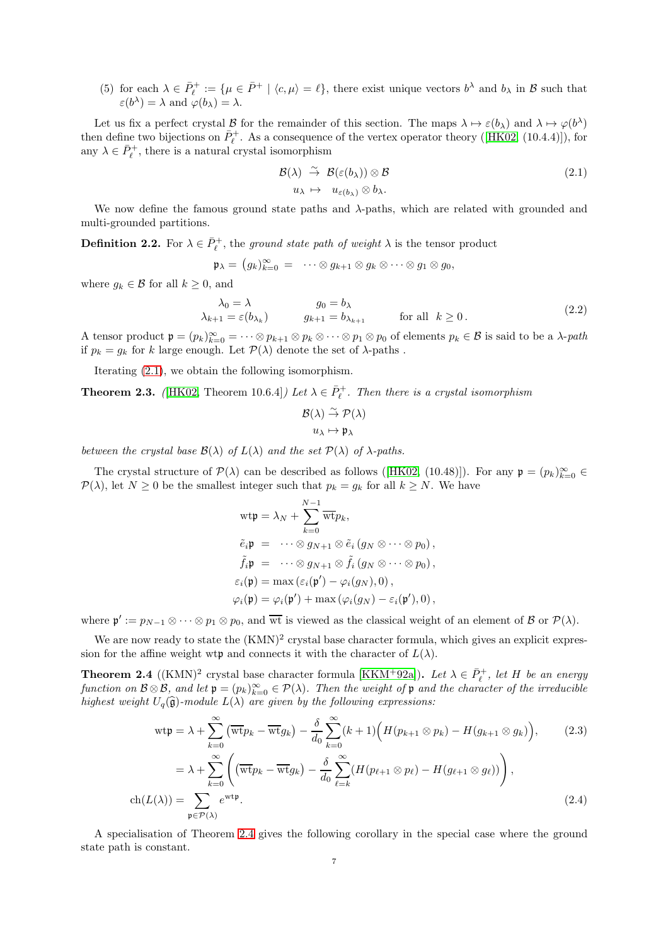(5) for each  $\lambda \in \bar{P}_{\ell}^+ := \{ \mu \in \bar{P}^+ \mid \langle c, \mu \rangle = \ell \}$ , there exist unique vectors  $b^{\lambda}$  and  $b_{\lambda}$  in  $\mathcal{B}$  such that  $\varepsilon(b^{\lambda}) = \lambda$  and  $\varphi(b_{\lambda}) = \lambda$ .

Let us fix a perfect crystal B for the remainder of this section. The maps  $\lambda \mapsto \varepsilon(b_\lambda)$  and  $\lambda \mapsto \varphi(b^\lambda)$ then define two bijections on  $\bar{P}_{\ell}^+$ . As a consequence of the vertex operator theory ([\[HK02,](#page-25-27) (10.4.4)]), for any  $\lambda \in \bar{P}_{\ell}^+$ , there is a natural crystal isomorphism

<span id="page-6-0"></span>
$$
\mathcal{B}(\lambda) \stackrel{\sim}{\to} \mathcal{B}(\varepsilon(b_{\lambda})) \otimes \mathcal{B} \n u_{\lambda} \mapsto u_{\varepsilon(b_{\lambda})} \otimes b_{\lambda}.
$$
\n(2.1)

We now define the famous ground state paths and  $\lambda$ -paths, which are related with grounded and multi-grounded partitions.

**Definition 2.2.** For  $\lambda \in \overline{P}_{\ell}^{+}$ , the ground state path of weight  $\lambda$  is the tensor product

$$
\mathfrak{p}_{\lambda} = (g_k)_{k=0}^{\infty} = \cdots \otimes g_{k+1} \otimes g_k \otimes \cdots \otimes g_1 \otimes g_0,
$$

where  $g_k \in \mathcal{B}$  for all  $k \geq 0$ , and

<span id="page-6-2"></span>
$$
\lambda_0 = \lambda \qquad \qquad g_0 = b_\lambda \n\lambda_{k+1} = \varepsilon(b_{\lambda_k}) \qquad \qquad g_{k+1} = b_{\lambda_{k+1}} \qquad \qquad \text{for all} \ \ k \ge 0.
$$
\n(2.2)

A tensor product  $\mathfrak{p} = (p_k)_{k=0}^{\infty} = \cdots \otimes p_{k+1} \otimes p_k \otimes \cdots \otimes p_1 \otimes p_0$  of elements  $p_k \in \mathcal{B}$  is said to be a  $\lambda$ -path if  $p_k = g_k$  for k large enough. Let  $\mathcal{P}(\lambda)$  denote the set of  $\lambda$ -paths.

Iterating [\(2.1\)](#page-6-0), we obtain the following isomorphism.

**Theorem 2.3.** ([\[HK02,](#page-25-27) Theorem 10.6.4]) Let  $\lambda \in \overline{P}_{\ell}^+$ . Then there is a crystal isomorphism

$$
\mathcal{B}(\lambda) \stackrel{\sim}{\rightarrow} \mathcal{P}(\lambda)
$$

$$
u_{\lambda} \mapsto \mathfrak{p}_{\lambda}
$$

between the crystal base  $\mathcal{B}(\lambda)$  of  $L(\lambda)$  and the set  $\mathcal{P}(\lambda)$  of  $\lambda$ -paths.

The crystal structure of  $\mathcal{P}(\lambda)$  can be described as follows ([\[HK02,](#page-25-27) (10.48)]). For any  $\mathfrak{p} = (p_k)_{k=0}^{\infty} \in$  $P(\lambda)$ , let  $N \geq 0$  be the smallest integer such that  $p_k = g_k$  for all  $k \geq N$ . We have

<span id="page-6-3"></span>
$$
\begin{aligned}\n\text{wtp} &= \lambda_N + \sum_{k=0}^{N-1} \overline{\text{wt}} p_k, \\
\tilde{e}_i \mathfrak{p} &= \cdots \otimes g_{N+1} \otimes \tilde{e}_i \left( g_N \otimes \cdots \otimes p_0 \right), \\
\tilde{f}_i \mathfrak{p} &= \cdots \otimes g_{N+1} \otimes \tilde{f}_i \left( g_N \otimes \cdots \otimes p_0 \right), \\
\varepsilon_i(\mathfrak{p}) &= \max \left( \varepsilon_i(\mathfrak{p}') - \varphi_i(g_N), 0 \right), \\
\varphi_i(\mathfrak{p}) &= \varphi_i(\mathfrak{p}') + \max \left( \varphi_i(g_N) - \varepsilon_i(\mathfrak{p}'), 0 \right),\n\end{aligned}
$$

where  $\mathfrak{p}' := p_{N-1} \otimes \cdots \otimes p_1 \otimes p_0$ , and  $\overline{\text{wt}}$  is viewed as the classical weight of an element of  $\mathcal{B}$  or  $\mathcal{P}(\lambda)$ .

We are now ready to state the  $(KMN)^2$  crystal base character formula, which gives an explicit expression for the affine weight wtp and connects it with the character of  $L(\lambda)$ .

<span id="page-6-1"></span>**Theorem 2.4** ((KMN)<sup>2</sup> crystal base character formula [\[KKM](#page-25-17)<sup>+</sup>92a]). Let  $\lambda \in \bar{P}_\ell^+$ , let H be an energy function on  $\mathcal{B} \otimes \mathcal{B}$ , and let  $\mathfrak{p} = (p_k)_{k=0}^{\infty} \in \mathcal{P}(\lambda)$ . Then the weight of  $\mathfrak{p}$  and the character of the irreducible highest weight  $U_q(\hat{\mathfrak{g}})$ -module  $L(\lambda)$  are given by the following expressions:

<span id="page-6-4"></span>
$$
\begin{split} \n\text{wtp} &= \lambda + \sum_{k=0}^{\infty} \left( \overline{\text{wt}} p_k - \overline{\text{wt}} g_k \right) - \frac{\delta}{d_0} \sum_{k=0}^{\infty} (k+1) \Big( H(p_{k+1} \otimes p_k) - H(g_{k+1} \otimes g_k) \Big), \qquad (2.3) \\ \n&= \lambda + \sum_{k=0}^{\infty} \left( \left( \overline{\text{wt}} p_k - \overline{\text{wt}} g_k \right) - \frac{\delta}{d_0} \sum_{\ell=k}^{\infty} (H(p_{\ell+1} \otimes p_\ell) - H(g_{\ell+1} \otimes g_\ell)) \right), \qquad (2.4) \\ \n\text{ch}(L(\lambda)) &= \sum_{\mathfrak{p} \in \mathcal{P}(\lambda)} e^{\text{wtp}}. \n\end{split}
$$

A specialisation of Theorem [2.4](#page-6-1) gives the following corollary in the special case where the ground state path is constant.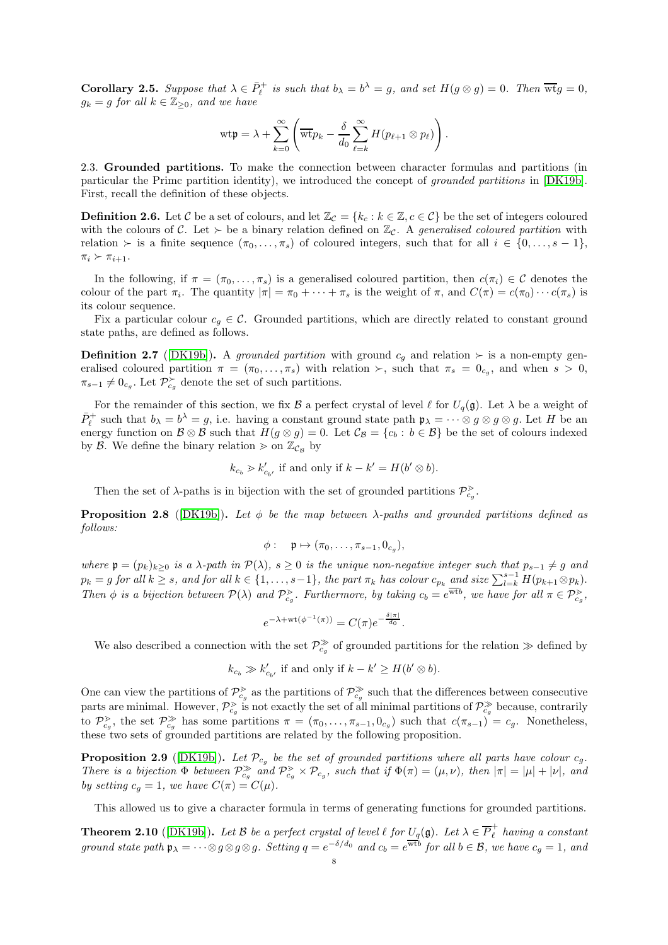**Corollary 2.5.** Suppose that  $\lambda \in \overline{P}_{\ell}^+$  is such that  $b_{\lambda} = b^{\lambda} = g$ , and set  $H(g \otimes g) = 0$ . Then  $\overline{wt}g = 0$ ,  $g_k = g$  for all  $k \in \mathbb{Z}_{\geq 0}$ , and we have

$$
\mathrm{wt}\mathfrak{p}=\lambda+\sum_{k=0}^{\infty}\left(\overline{\mathrm{wt}}p_k-\frac{\delta}{d_0}\sum_{\ell=k}^{\infty}H(p_{\ell+1}\otimes p_{\ell})\right).
$$

<span id="page-7-0"></span>2.3. Grounded partitions. To make the connection between character formulas and partitions (in particular the Primc partition identity), we introduced the concept of grounded partitions in [\[DK19b\]](#page-25-21). First, recall the definition of these objects.

**Definition 2.6.** Let C be a set of colours, and let  $\mathbb{Z}_{\mathcal{C}} = \{k_{\alpha}: k \in \mathbb{Z}, c \in \mathcal{C}\}\$  be the set of integers coloured with the colours of C. Let  $\succ$  be a binary relation defined on  $\mathbb{Z}_c$ . A generalised coloured partition with relation ≻ is a finite sequence  $(\pi_0, \ldots, \pi_s)$  of coloured integers, such that for all  $i \in \{0, \ldots, s-1\}$ ,  $\pi_i \succ \pi_{i+1}.$ 

In the following, if  $\pi = (\pi_0, \ldots, \pi_s)$  is a generalised coloured partition, then  $c(\pi_i) \in \mathcal{C}$  denotes the colour of the part  $\pi_i$ . The quantity  $|\pi| = \pi_0 + \cdots + \pi_s$  is the weight of  $\pi$ , and  $C(\pi) = c(\pi_0) \cdots c(\pi_s)$  is its colour sequence.

Fix a particular colour  $c_q \in \mathcal{C}$ . Grounded partitions, which are directly related to constant ground state paths, are defined as follows.

**Definition 2.7** ([\[DK19b\]](#page-25-21)). A grounded partition with ground  $c_q$  and relation ≻ is a non-empty generalised coloured partition  $\pi = (\pi_0, \ldots, \pi_s)$  with relation  $\succ$ , such that  $\pi_s = 0_{c_g}$ , and when  $s > 0$ ,  $\pi_{s-1} \neq 0_{c_g}$ . Let  $\mathcal{P}_{c_g}^{\succ}$  denote the set of such partitions.

For the remainder of this section, we fix B a perfect crystal of level  $\ell$  for  $U_q(\mathfrak{g})$ . Let  $\lambda$  be a weight of  $\bar{P}_{\ell}^+$  such that  $b_{\lambda} = b^{\lambda} = g$ , i.e. having a constant ground state path  $\mathfrak{p}_{\lambda} = \cdots \otimes g \otimes g \otimes g$ . Let H be an energy function on  $\mathcal{B} \otimes \mathcal{B}$  such that  $H(g \otimes g) = 0$ . Let  $\mathcal{C}_{\mathcal{B}} = \{c_b : b \in \mathcal{B}\}\$ be the set of colours indexed by B. We define the binary relation  $\geq$  on  $\mathbb{Z}_{\mathcal{C}_\mathcal{B}}$  by

$$
k_{c_b} > k'_{c_{b'}}
$$
 if and only if  $k - k' = H(b' \otimes b)$ .

Then the set of  $\lambda$ -paths is in bijection with the set of grounded partitions  $\mathcal{P}_{c_q}^{\geq}$ .

**Proposition 2.8** ([\[DK19b\]](#page-25-21)). Let  $\phi$  be the map between  $\lambda$ -paths and grounded partitions defined as follows:

$$
\phi: \quad \mathfrak{p} \mapsto (\pi_0, \ldots, \pi_{s-1}, 0_{c_g}),
$$

where  $\mathfrak{p} = (p_k)_{k>0}$  is a  $\lambda$ -path in  $\mathcal{P}(\lambda)$ ,  $s \geq 0$  is the unique non-negative integer such that  $p_{s-1} \neq g$  and  $p_k = g \text{ for all } k \geq s, \text{ and for all } k \in \{1, \ldots, s-1\}, \text{ the part } \pi_k \text{ has colour } c_{p_k} \text{ and size } \sum_{l=k}^{s-1} H(p_{k+1} \otimes p_k).$ Then  $\phi$  is a bijection between  $\mathcal{P}(\lambda)$  and  $\mathcal{P}_{c_g}^{\geq}$ . Furthermore, by taking  $c_b = e^{\overline{\text{wt}}b}$ , we have for all  $\pi \in \mathcal{P}_{c_g}^{\geq}$ ,

$$
e^{-\lambda + \text{wt}(\phi^{-1}(\pi))} = C(\pi)e^{-\frac{\delta |\pi|}{d_0}}.
$$

We also described a connection with the set  $\mathcal{P}_{c_g}^{\gg}$  of grounded partitions for the relation  $\gg$  defined by

$$
k_{c_b} \gg k'_{c_{b'}}
$$
 if and only if  $k - k' \ge H(b' \otimes b)$ .

One can view the partitions of  $\mathcal{P}_{c_g}^{\geq}$  as the partitions of  $\mathcal{P}_{c_g}^{\geq}$  such that the differences between consecutive parts are minimal. However,  $\mathcal{P}_{c_g}^{\geq}$  is not exactly the set of all minimal partitions of  $\mathcal{P}_{c_g}^{\geq}$  because, contrarily to  $\mathcal{P}_{c_g}^{\geq}$ , the set  $\mathcal{P}_{c_g}^{\geq}$  has some partitions  $\pi = (\pi_0, \ldots, \pi_{s-1}, 0_{c_g})$  such that  $c(\pi_{s-1})^{\geq} = c_g$ . Nonetheless, these two sets of grounded partitions are related by the following proposition.

**Proposition 2.9** ([\[DK19b\]](#page-25-21)). Let  $\mathcal{P}_{c_g}$  be the set of grounded partitions where all parts have colour  $c_g$ . There is a bijection  $\Phi$  between  $\mathcal{P}_{c_g}^{\gg}$  and  $\mathcal{P}_{c_g}^{\gg} \times \mathcal{P}_{c_g}$ , such that if  $\Phi(\pi) = (\mu, \nu)$ , then  $|\pi| = |\mu| + |\nu|$ , and by setting  $c_g = 1$ , we have  $C(\pi) = C(\mu)$ .

This allowed us to give a character formula in terms of generating functions for grounded partitions.

<span id="page-7-1"></span>**Theorem 2.10** ([\[DK19b\]](#page-25-21)). Let B be a perfect crystal of level  $\ell$  for  $U_q(\mathfrak{g})$ . Let  $\lambda \in \overline{P}_{\ell}^+$  having a constant ground state path  $\mathfrak{p}_{\lambda} = \cdots \otimes g \otimes g$ . Setting  $q = e^{-\delta/d_0}$  and  $c_b = e^{\overline{\text{wt}} b}$  for all  $b \in \mathcal{B}$ , we have  $c_g = 1$ , and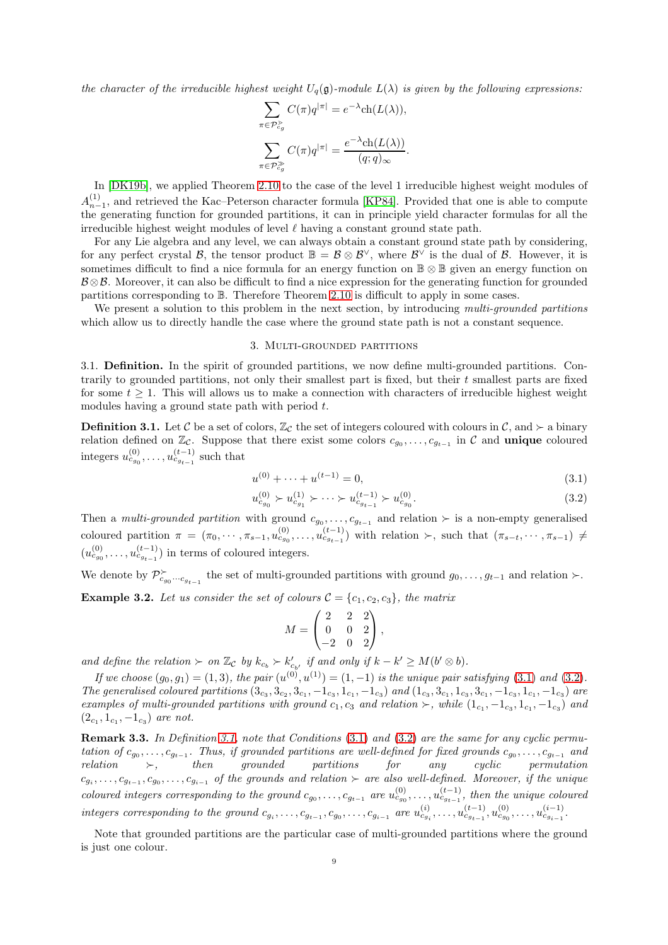the character of the irreducible highest weight  $U_q(\mathfrak{g})$ -module  $L(\lambda)$  is given by the following expressions:

$$
\sum_{\pi \in \mathcal{P}_{cg}^{\geq} } C(\pi) q^{|\pi|} = e^{-\lambda} \text{ch}(L(\lambda)),
$$

$$
\sum_{\pi \in \mathcal{P}_{cg}^{\geq} } C(\pi) q^{|\pi|} = \frac{e^{-\lambda} \text{ch}(L(\lambda))}{(q;q)_{\infty}}.
$$

In [\[DK19b\]](#page-25-21), we applied Theorem [2.10](#page-7-1) to the case of the level 1 irreducible highest weight modules of  $A_{n-1}^{(1)}$ , and retrieved the Kac–Peterson character formula [\[KP84\]](#page-25-14). Provided that one is able to compute the generating function for grounded partitions, it can in principle yield character formulas for all the irreducible highest weight modules of level  $\ell$  having a constant ground state path.

For any Lie algebra and any level, we can always obtain a constant ground state path by considering, for any perfect crystal  $\mathcal{B}$ , the tensor product  $\mathbb{B} = \mathcal{B} \otimes \mathcal{B}^{\vee}$ , where  $\mathcal{B}^{\vee}$  is the dual of  $\mathcal{B}$ . However, it is sometimes difficult to find a nice formula for an energy function on **B** ⊗ **B** given an energy function on  $\mathcal{B}\otimes\mathcal{B}$ . Moreover, it can also be difficult to find a nice expression for the generating function for grounded partitions corresponding to B. Therefore Theorem [2.10](#page-7-1) is difficult to apply in some cases.

<span id="page-8-0"></span>We present a solution to this problem in the next section, by introducing multi-grounded partitions which allow us to directly handle the case where the ground state path is not a constant sequence.

### 3. Multi-grounded partitions

3.1. Definition. In the spirit of grounded partitions, we now define multi-grounded partitions. Contrarily to grounded partitions, not only their smallest part is fixed, but their  $t$  smallest parts are fixed for some  $t \geq 1$ . This will allows us to make a connection with characters of irreducible highest weight modules having a ground state path with period t.

<span id="page-8-3"></span>**Definition 3.1.** Let C be a set of colors,  $\mathbb{Z}_c$  the set of integers coloured with colours in C, and ≻ a binary relation defined on  $\mathbb{Z}_{\mathcal{C}}$ . Suppose that there exist some colors  $c_{g_0}, \ldots, c_{g_{t-1}}$  in  $\mathcal{C}$  and **unique** coloured  $\text{integers} \ u_{c_{g_0}}^{(0)}, \dots, u_{c_{g_{t-1}}}^{(t-1)} \text{ such that}$ 

<span id="page-8-1"></span>
$$
u^{(0)} + \dots + u^{(t-1)} = 0,\t\t(3.1)
$$

$$
u_{c_{g_0}}^{(0)} \succ u_{c_{g_1}}^{(1)} \succ \cdots \succ u_{c_{g_{t-1}}}^{(t-1)} \succ u_{c_{g_0}}^{(0)}.
$$
\n
$$
(3.2)
$$

Then a *multi-grounded partition* with ground  $c_{g_0}, \ldots, c_{g_{t-1}}$  and relation ≻ is a non-empty generalised coloured partition  $\pi = (\pi_0, \cdots, \pi_{s-1}, u_{c_{g_0}}^{(0)}, \ldots, u_{c_{g_{t-1}}}^{(t-1)})$  with relation  $\succ$ , such that  $(\pi_{s-t}, \cdots, \pi_{s-1}) \neq$  $(u_{c_{g_0}}^{(0)}, \ldots, u_{c_{g_{t-1}}}^{(t-1)})$  in terms of coloured integers.

We denote by  $\mathcal{P}_{c_{g_0}\cdots c_{g_{t-1}}}^{\succ}$  the set of multi-grounded partitions with ground  $g_0,\ldots,g_{t-1}$  and relation ≻.

<span id="page-8-4"></span>**Example 3.2.** Let us consider the set of colours  $C = \{c_1, c_2, c_3\}$ , the matrix

<span id="page-8-2"></span>
$$
M = \begin{pmatrix} 2 & 2 & 2 \\ 0 & 0 & 2 \\ -2 & 0 & 2 \end{pmatrix},
$$

and define the relation  $\succ$  on  $\mathbb{Z}_{\mathcal{C}}$  by  $k_{c_b} \succ k'_{c_{b'}}$  if and only if  $k - k' \geq M(b' \otimes b)$ .

If we choose  $(g_0, g_1) = (1, 3)$ , the pair  $(u^{(0)}, u^{(1)}) = (1, -1)$  is the unique pair satisfying  $(3.1)$  and  $(3.2)$ . The generalised coloured partitions  $(3_{c_3}, 3_{c_2}, 3_{c_1}, -1_{c_3}, 1_{c_1}, -1_{c_3})$  and  $(1_{c_3}, 3_{c_1}, 1_{c_3}, 3_{c_1}, -1_{c_3}, 1_{c_1}, -1_{c_3})$  are examples of multi-grounded partitions with ground  $c_1, c_3$  and relation  $\succ$ , while  $(1_{c_1}, -1_{c_3}, 1_{c_1}, -1_{c_3})$  and  $(2_{c_1}, 1_{c_1}, -1_{c_3})$  are not.

Remark 3.3. In Definition [3.1,](#page-8-3) note that Conditions [\(3.1\)](#page-8-1) and [\(3.2\)](#page-8-2) are the same for any cyclic permutation of  $c_{g_0}, \ldots, c_{g_{t-1}}$ . Thus, if grounded partitions are well-defined for fixed grounds  $c_{g_0}, \ldots, c_{g_{t-1}}$  and relation ≻, then grounded partitions for any cyclic permutation  $c_{g_i},\ldots,c_{g_{t-1}},c_{g_0},\ldots,c_{g_{i-1}}$  of the grounds and relation  $\succ$  are also well-defined. Moreover, if the unique coloured integers corresponding to the ground  $c_{g_0}, \ldots, c_{g_{t-1}}$  are  $u_{c_{g_0}}^{(0)}, \ldots, u_{c_{g_{t-1}}}^{(t-1)}$ , then the unique coloured  $integers\ corresponding\ to\ the\ ground\ c_{g_i}, \ldots, c_{g_{t-1}}, c_{g_0}, \ldots, c_{g_{i-1}}\ are\ u_{c_{g_i}}^{(i)}, \ldots, u_{c_{g_{t-1}}}^{(t-1)}, u_{c_{g_0}}^{(0)}, \ldots, u_{c_{g_{i-1}}}^{(i-1)}.$ 

Note that grounded partitions are the particular case of multi-grounded partitions where the ground is just one colour.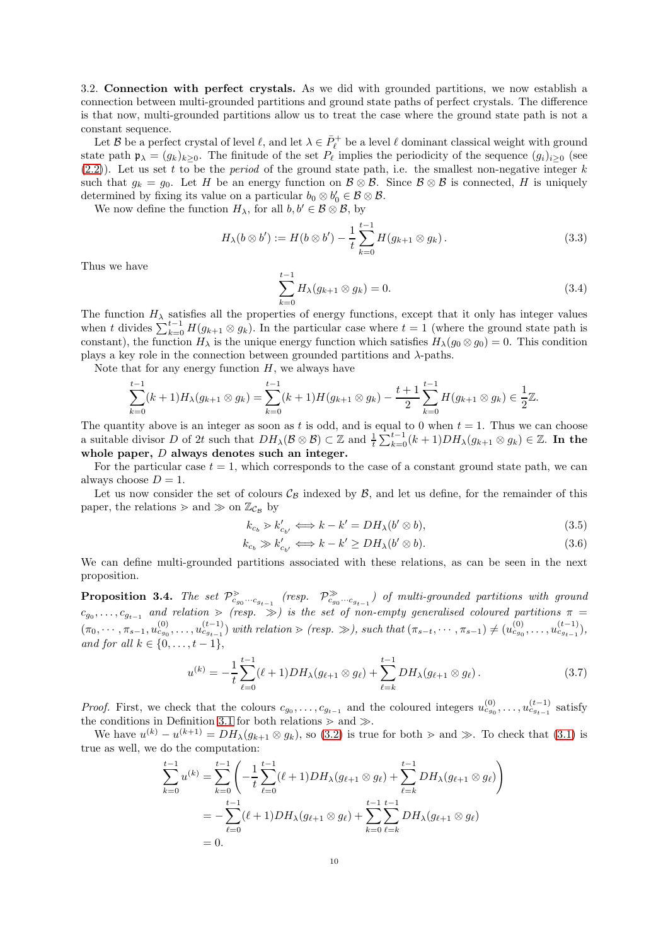3.2. Connection with perfect crystals. As we did with grounded partitions, we now establish a connection between multi-grounded partitions and ground state paths of perfect crystals. The difference is that now, multi-grounded partitions allow us to treat the case where the ground state path is not a constant sequence.

Let B be a perfect crystal of level  $\ell$ , and let  $\lambda \in \bar{P}^+_{\ell}$  be a level  $\ell$  dominant classical weight with ground state path  $\mathfrak{p}_{\lambda} = (g_k)_{k>0}$ . The finitude of the set  $P_{\ell}$  implies the periodicity of the sequence  $(g_i)_{i>0}$  (see  $(2.2)$ ). Let us set t to be the *period* of the ground state path, i.e. the smallest non-negative integer k such that  $g_k = g_0$ . Let H be an energy function on  $\mathcal{B} \otimes \mathcal{B}$ . Since  $\mathcal{B} \otimes \mathcal{B}$  is connected, H is uniquely determined by fixing its value on a particular  $b_0 \otimes b'_0 \in \mathcal{B} \otimes \mathcal{B}$ .

We now define the function  $H_{\lambda}$ , for all  $b, b' \in \mathcal{B} \otimes \mathcal{B}$ , by

<span id="page-9-3"></span>
$$
H_{\lambda}(b \otimes b') := H(b \otimes b') - \frac{1}{t} \sum_{k=0}^{t-1} H(g_{k+1} \otimes g_k).
$$
 (3.3)

Thus we have

<span id="page-9-1"></span>
$$
\sum_{k=0}^{t-1} H_{\lambda}(g_{k+1} \otimes g_k) = 0.
$$
\n(3.4)

The function  $H_{\lambda}$  satisfies all the properties of energy functions, except that it only has integer values when t divides  $\sum_{k=0}^{t-1} H(g_{k+1} \otimes g_k)$ . In the particular case where  $t = 1$  (where the ground state path is constant), the function  $H_\lambda$  is the unique energy function which satisfies  $H_\lambda(g_0 \otimes g_0) = 0$ . This condition plays a key role in the connection between grounded partitions and  $\lambda$ -paths.

Note that for any energy function  $H$ , we always have

$$
\sum_{k=0}^{t-1} (k+1)H_{\lambda}(g_{k+1} \otimes g_k) = \sum_{k=0}^{t-1} (k+1)H(g_{k+1} \otimes g_k) - \frac{t+1}{2} \sum_{k=0}^{t-1} H(g_{k+1} \otimes g_k) \in \frac{1}{2}\mathbb{Z}.
$$

The quantity above is an integer as soon as t is odd, and is equal to 0 when  $t = 1$ . Thus we can choose a suitable divisor D of 2t such that  $DH_\lambda(\mathcal{B} \otimes \mathcal{B}) \subset \mathbb{Z}$  and  $\frac{1}{t} \sum_{k=0}^{t-1} (k+1)DH_\lambda(g_{k+1} \otimes g_k) \in \mathbb{Z}$ . In the whole paper, D always denotes such an integer.

For the particular case  $t = 1$ , which corresponds to the case of a constant ground state path, we can always choose  $D = 1$ .

Let us now consider the set of colours  $\mathcal{C}_{\mathcal{B}}$  indexed by  $\mathcal{B}$ , and let us define, for the remainder of this paper, the relations  $\geq$  and  $\gg$  on  $\mathbb{Z}_{\mathcal{C}_{\mathcal{B}}}$  by

<span id="page-9-4"></span><span id="page-9-0"></span>
$$
k_{c_b} > k'_{c_{b'}} \Longleftrightarrow k - k' = DH_\lambda(b' \otimes b), \tag{3.5}
$$

$$
k_{c_b} \gg k'_{c_{b'}} \Longleftrightarrow k - k' \ge DH_{\lambda}(b' \otimes b). \tag{3.6}
$$

We can define multi-grounded partitions associated with these relations, as can be seen in the next proposition.

**Proposition 3.4.** The set  $\mathcal{P}^{\geq}_{c_{g_0} \cdots c_{g_{t-1}}}$  (resp.  $\mathcal{P}^{\geq}_{c_{g_0} \cdots c_{g_{t-1}}}$ ) of multi-grounded partitions with ground  $c_{g_0}, \ldots, c_{g_{t-1}}$  and relation  $\gg$  (resp.  $\gg$ ) is the set of non-empty generalised coloured partitions  $\pi$  $(\pi_0, \dots, \pi_{s-1}, u_{c_{g_0}}^{(0)}, \dots, u_{c_{g_{t-1}}}^{(t-1)})$  with relation  $\geq$  (resp.  $\gg$ ), such that  $(\pi_{s-t}, \dots, \pi_{s-1}) \neq (u_{c_{g_0}}^{(0)}, \dots, u_{c_{g_{t-1}}}^{(t-1)})$ , and for all  $k \in \{0, ..., t-1\},\$ 

<span id="page-9-2"></span>
$$
u^{(k)} = -\frac{1}{t} \sum_{\ell=0}^{t-1} (\ell+1) DH_{\lambda}(g_{\ell+1} \otimes g_{\ell}) + \sum_{\ell=k}^{t-1} DH_{\lambda}(g_{\ell+1} \otimes g_{\ell}). \tag{3.7}
$$

*Proof.* First, we check that the colours  $c_{g_0}, \ldots, c_{g_{t-1}}$  and the coloured integers  $u_{c_{g_0}}^{(0)}, \ldots, u_{c_{g_{t-1}}}^{(t-1)}$  satisfy the conditions in Definition [3.1](#page-8-3) for both relations  $\geq$  and  $\geq$ .

We have  $u^{(k)} - u^{(k+1)} = DH_\lambda(g_{k+1} \otimes g_k)$ , so [\(3.2\)](#page-8-2) is true for both  $\geq$  and  $\gg$ . To check that [\(3.1\)](#page-8-1) is true as well, we do the computation:

$$
\sum_{k=0}^{t-1} u^{(k)} = \sum_{k=0}^{t-1} \left( -\frac{1}{t} \sum_{\ell=0}^{t-1} (\ell+1) DH_{\lambda}(g_{\ell+1} \otimes g_{\ell}) + \sum_{\ell=k}^{t-1} DH_{\lambda}(g_{\ell+1} \otimes g_{\ell}) \right)
$$
  
= 
$$
-\sum_{\ell=0}^{t-1} (\ell+1) DH_{\lambda}(g_{\ell+1} \otimes g_{\ell}) + \sum_{k=0}^{t-1} \sum_{\ell=k}^{t-1} DH_{\lambda}(g_{\ell+1} \otimes g_{\ell})
$$
  
= 0.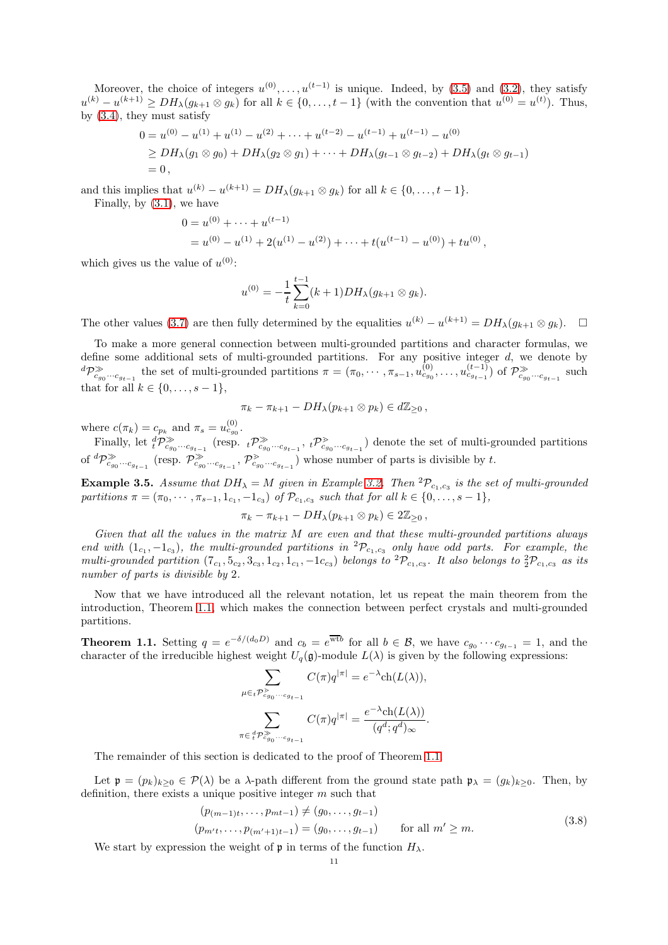Moreover, the choice of integers  $u^{(0)}, \ldots, u^{(t-1)}$  is unique. Indeed, by [\(3.5\)](#page-9-0) and [\(3.2\)](#page-8-2), they satisfy  $u^{(k)} - u^{(k+1)} \geq DH_\lambda(g_{k+1} \otimes g_k)$  for all  $k \in \{0, \ldots, t-1\}$  (with the convention that  $u^{(0)} = u^{(t)}$ ). Thus, by [\(3.4\)](#page-9-1), they must satisfy

$$
0 = u^{(0)} - u^{(1)} + u^{(1)} - u^{(2)} + \dots + u^{(t-2)} - u^{(t-1)} + u^{(t-1)} - u^{(0)}
$$
  
\n
$$
\ge DH_{\lambda}(g_1 \otimes g_0) + DH_{\lambda}(g_2 \otimes g_1) + \dots + DH_{\lambda}(g_{t-1} \otimes g_{t-2}) + DH_{\lambda}(g_t \otimes g_{t-1})
$$
  
\n
$$
= 0,
$$

and this implies that  $u^{(k)} - u^{(k+1)} = DH_\lambda(g_{k+1} \otimes g_k)$  for all  $k \in \{0, \ldots, t-1\}$ .

Finally, by [\(3.1\)](#page-8-1), we have

$$
0 = u^{(0)} + \dots + u^{(t-1)}
$$
  
=  $u^{(0)} - u^{(1)} + 2(u^{(1)} - u^{(2)}) + \dots + t(u^{(t-1)} - u^{(0)}) + tu^{(0)},$ 

which gives us the value of  $u^{(0)}$ :

$$
u^{(0)} = -\frac{1}{t} \sum_{k=0}^{t-1} (k+1) DH_{\lambda}(g_{k+1} \otimes g_k).
$$

The other values [\(3.7\)](#page-9-2) are then fully determined by the equalities  $u^{(k)} - u^{(k+1)} = DH_\lambda(g_{k+1} \otimes g_k)$ .  $\Box$ 

To make a more general connection between multi-grounded partitions and character formulas, we define some additional sets of multi-grounded partitions. For any positive integer  $d$ , we denote by  ${}^d\mathcal{P}_{c_{g_0}\cdots c_{g_{t-1}}}^{\gg}$  the set of multi-grounded partitions  $\pi = (\pi_0, \cdots, \pi_{s-1}, u_{c_{g_0}}^{(0)}, \ldots, u_{c_{g_{t-1}}}^{(t-1)})$  of  $\mathcal{P}_{c_{g_0}\cdots c_{g_{t-1}}}^{\gg}$  such that for all  $k \in \{0, \ldots, s-1\},\$ 

$$
\pi_k - \pi_{k+1} - DH_\lambda(p_{k+1} \otimes p_k) \in d\mathbb{Z}_{\geq 0},
$$

where  $c(\pi_k) = c_{p_k}$  and  $\pi_s = u_{c_{g_0}}^{(0)}$ .

Finally, let  ${}_{t}^{d}P_{c_{g_{0}}\cdots c_{g_{t-1}}}^{\gg}$  (resp.  ${}_{t}P_{c_{g_{0}}\cdots c_{g_{t-1}}}^{\gg}$ ,  ${}_{t}P_{c_{g_{0}}\cdots c_{g_{t-1}}}^{\gg}$ ) denote the set of multi-grounded partitions of  ${}^d\mathcal{P}_{c_{g_0}\cdots c_{g_{t-1}}}^{\gg}$  (resp.  $\mathcal{P}_{c_{g_0}\cdots c_{g_{t-1}}}^{\gg}$ ,  $\mathcal{P}_{c_{g_0}\cdots c_{g_{t-1}}}^{\gt}$ ) whose number of parts is divisible by t.

**Example 3.5.** Assume that  $DH_\lambda = M$  given in Example [3.2.](#page-8-4) Then  ${}^2P_{c_1,c_3}$  is the set of multi-grounded partitions  $\pi = (\pi_0, \cdots, \pi_{s-1}, 1_{c_1}, -1_{c_3})$  of  $\mathcal{P}_{c_1, c_3}$  such that for all  $k \in \{0, \ldots, s-1\},$ 

$$
\pi_k - \pi_{k+1} - DH_\lambda(p_{k+1} \otimes p_k) \in 2\mathbb{Z}_{\geq 0},
$$

Given that all the values in the matrix M are even and that these multi-grounded partitions always end with  $(1_{c_1}, -1_{c_3})$ , the multi-grounded partitions in  ${}^2\mathcal{P}_{c_1,c_3}$  only have odd parts. For example, the multi-grounded partition  $(7_{c_1}, 5_{c_2}, 3_{c_3}, 1_{c_2}, 1_{c_1}, -1_{c_3})$  belongs to  ${}^2\mathcal{P}_{c_1,c_3}$ . It also belongs to  ${}^2\mathcal{P}_{c_1,c_3}$  as its number of parts is divisible by 2.

Now that we have introduced all the relevant notation, let us repeat the main theorem from the introduction, Theorem [1.1,](#page-2-0) which makes the connection between perfect crystals and multi-grounded partitions.

**Theorem 1.1.** Setting  $q = e^{-\delta/(d_0 D)}$  and  $c_b = e^{\overline{w}t}$  for all  $b \in \mathcal{B}$ , we have  $c_{g_0} \cdots c_{g_{t-1}} = 1$ , and the character of the irreducible highest weight  $U_q(\mathfrak{g})$ -module  $L(\lambda)$  is given by the following expressions:

$$
\sum_{\mu \in {}_{t}\mathcal{P}_{cg_0\cdots c_{g_{t-1}}}^{\geq} } C(\pi)q^{|\pi|} = e^{-\lambda} \mathrm{ch}(L(\lambda)),
$$
  

$$
\sum_{\pi \in {}_{t}^{d}\mathcal{P}_{cg_0\cdots c_{g_{t-1}}}^{\geq} } C(\pi)q^{|\pi|} = \frac{e^{-\lambda}\mathrm{ch}(L(\lambda))}{(q^d;q^d)_{\infty}}.
$$

The remainder of this section is dedicated to the proof of Theorem [1.1.](#page-2-0)

Let  $\mathfrak{p} = (p_k)_{k>0} \in \mathcal{P}(\lambda)$  be a  $\lambda$ -path different from the ground state path  $\mathfrak{p}_{\lambda} = (g_k)_{k>0}$ . Then, by definition, there exists a unique positive integer m such that

<span id="page-10-0"></span>
$$
(p_{(m-1)t}, \ldots, p_{mt-1}) \neq (g_0, \ldots, g_{t-1})
$$
  
\n
$$
(p_{m't}, \ldots, p_{(m'+1)t-1}) = (g_0, \ldots, g_{t-1}) \quad \text{for all } m' \geq m.
$$
 (3.8)

We start by expression the weight of  $\mathfrak p$  in terms of the function  $H_\lambda$ .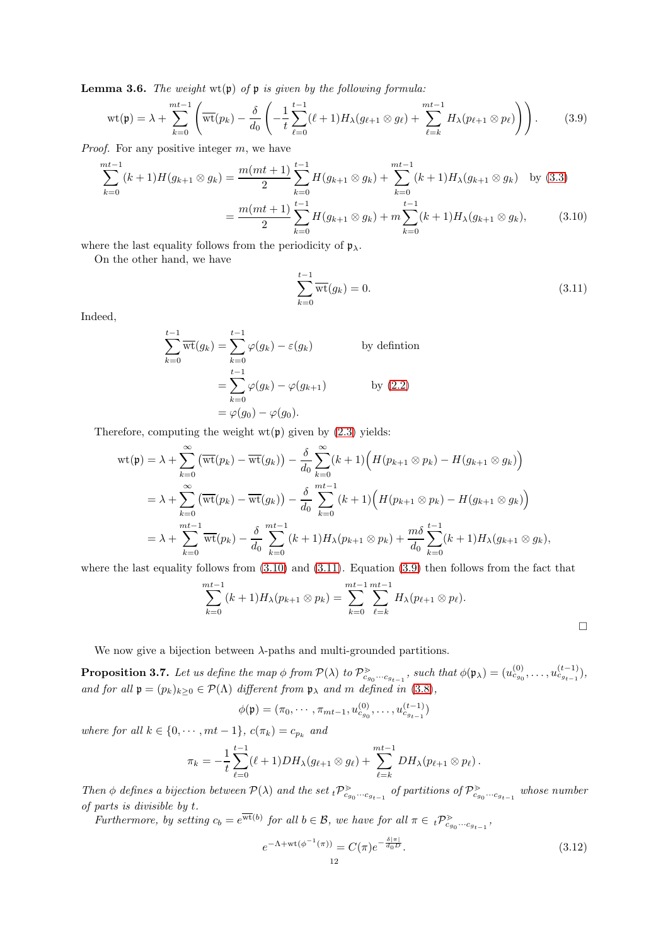<span id="page-11-4"></span>**Lemma 3.6.** The weight  $wt(p)$  of  $p$  is given by the following formula:

<span id="page-11-2"></span>
$$
\text{wt}(\mathfrak{p}) = \lambda + \sum_{k=0}^{mt-1} \left( \overline{\text{wt}}(p_k) - \frac{\delta}{d_0} \left( -\frac{1}{t} \sum_{\ell=0}^{t-1} (\ell+1) H_\lambda(g_{\ell+1} \otimes g_\ell) + \sum_{\ell=k}^{mt-1} H_\lambda(p_{\ell+1} \otimes p_\ell) \right) \right). \tag{3.9}
$$

Proof. For any positive integer m, we have

$$
\sum_{k=0}^{mt-1} (k+1)H(g_{k+1} \otimes g_k) = \frac{m(mt+1)}{2} \sum_{k=0}^{t-1} H(g_{k+1} \otimes g_k) + \sum_{k=0}^{mt-1} (k+1)H_\lambda(g_{k+1} \otimes g_k) \text{ by (3.3)}
$$

$$
= \frac{m(mt+1)}{2} \sum_{k=0}^{t-1} H(g_{k+1} \otimes g_k) + m \sum_{k=0}^{t-1} (k+1)H_\lambda(g_{k+1} \otimes g_k), \qquad (3.10)
$$

where the last equality follows from the periodicity of  $\mathfrak{p}_{\lambda}$ .

On the other hand, we have

<span id="page-11-1"></span><span id="page-11-0"></span>
$$
\sum_{k=0}^{t-1} \overline{\text{wt}}(g_k) = 0.
$$
\n(3.11)

Indeed,

$$
\sum_{k=0}^{t-1} \overline{\text{wt}}(g_k) = \sum_{k=0}^{t-1} \varphi(g_k) - \varepsilon(g_k)
$$
 by definition  

$$
= \sum_{k=0}^{t-1} \varphi(g_k) - \varphi(g_{k+1})
$$
 by (2.2)  

$$
= \varphi(g_0) - \varphi(g_0).
$$

Therefore, computing the weight  $wt(p)$  given by [\(2.3\)](#page-6-3) yields:

$$
wt(\mathfrak{p}) = \lambda + \sum_{k=0}^{\infty} \left( \overline{wt}(p_k) - \overline{wt}(g_k) \right) - \frac{\delta}{d_0} \sum_{k=0}^{\infty} (k+1) \Big( H(p_{k+1} \otimes p_k) - H(g_{k+1} \otimes g_k) \Big)
$$
  
=  $\lambda + \sum_{k=0}^{\infty} \left( \overline{wt}(p_k) - \overline{wt}(g_k) \right) - \frac{\delta}{d_0} \sum_{k=0}^{mt-1} (k+1) \Big( H(p_{k+1} \otimes p_k) - H(g_{k+1} \otimes g_k) \Big)$   
=  $\lambda + \sum_{k=0}^{mt-1} \overline{wt}(p_k) - \frac{\delta}{d_0} \sum_{k=0}^{mt-1} (k+1) H_{\lambda}(p_{k+1} \otimes p_k) + \frac{m\delta}{d_0} \sum_{k=0}^{t-1} (k+1) H_{\lambda}(g_{k+1} \otimes g_k),$ 

where the last equality follows from  $(3.10)$  and  $(3.11)$ . Equation  $(3.9)$  then follows from the fact that

$$
\sum_{k=0}^{mt-1} (k+1) H_{\lambda}(p_{k+1} \otimes p_k) = \sum_{k=0}^{mt-1} \sum_{\ell=k}^{mt-1} H_{\lambda}(p_{\ell+1} \otimes p_{\ell}).
$$

We now give a bijection between  $\lambda\text{-paths}$  and multi-grounded partitions.

**Proposition 3.7.** Let us define the map  $\phi$  from  $\mathcal{P}(\lambda)$  to  $\mathcal{P}_{c_{g_0} \cdots c_{g_{t-1}}}^{\geq}$ , such that  $\phi(\mathfrak{p}_{\lambda}) = (u_{c_{g_0}}^{(0)}, \ldots, u_{c_{g_{t-1}}}^{(t-1)})$ , and for all  $\mathfrak{p} = (p_k)_{k \geq 0} \in \mathcal{P}(\Lambda)$  different from  $\mathfrak{p}_{\lambda}$  and m defined in [\(3.8\)](#page-10-0),

$$
\phi(\mathfrak{p}) = (\pi_0, \cdots, \pi_{mt-1}, u_{c_{g_0}}^{(0)}, \ldots, u_{c_{g_{t-1}}}^{(t-1)})
$$

where for all  $k \in \{0, \dots, mt-1\}$ ,  $c(\pi_k) = c_{p_k}$  and

$$
\pi_k = -\frac{1}{t} \sum_{\ell=0}^{t-1} (\ell+1) DH_\lambda(g_{\ell+1} \otimes g_\ell) + \sum_{\ell=k}^{mt-1} DH_\lambda(p_{\ell+1} \otimes p_\ell).
$$

Then  $\phi$  defines a bijection between  $\mathcal{P}(\lambda)$  and the set  ${}_t\mathcal{P}^>_{c_{g_0}\cdots c_{g_{t-1}}}$  of partitions of  $\mathcal{P}^>_{c_{g_0}\cdots c_{g_{t-1}}}$  whose number of parts is divisible by t.

Furthermore, by setting  $c_b = e^{\overline{\text{wt}}(b)}$  for all  $b \in \mathcal{B}$ , we have for all  $\pi \in {}_{t}\mathcal{P}_{c_{g_0} \cdots c_{g_{t-1}}}^{\geq}$ ,

<span id="page-11-3"></span>
$$
e^{-\Lambda + \text{wt}(\phi^{-1}(\pi))} = C(\pi) e^{-\frac{\delta|\pi|}{d_0 D}}.
$$
\n(3.12)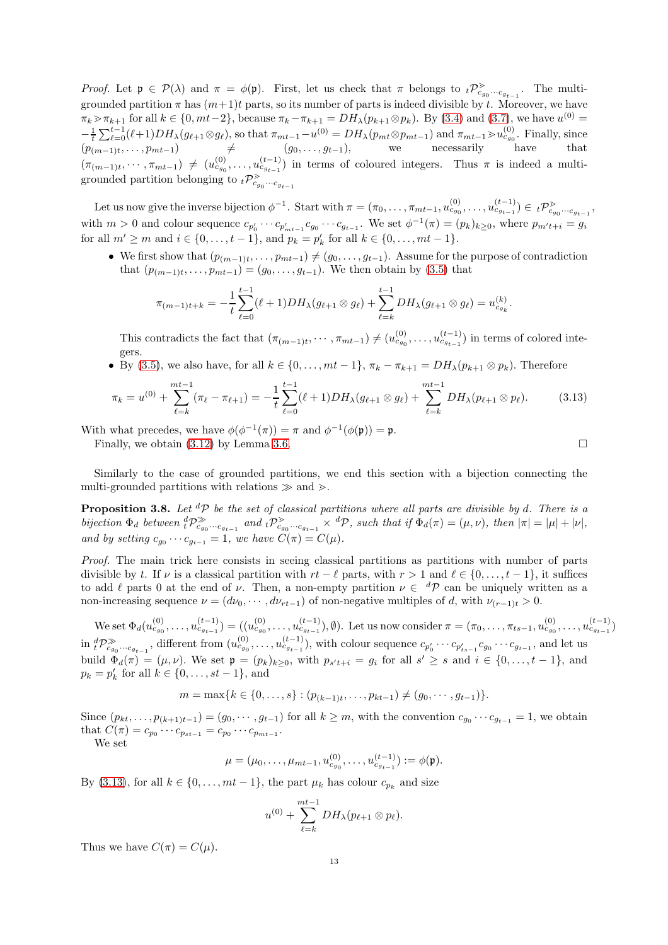Proof. Let  $\mathfrak{p} \in \mathcal{P}(\lambda)$  and  $\pi = \phi(\mathfrak{p})$ . First, let us check that  $\pi$  belongs to  ${}_{t}\mathcal{P}_{c_{g_0}\cdots c_{g_{t-1}}}^{\geq}$ . The multigrounded partition  $\pi$  has  $(m+1)t$  parts, so its number of parts is indeed divisible by t. Moreover, we have  $\pi_k > \pi_{k+1}$  for all  $k \in \{0, mt-2\}$ , because  $\pi_k - \pi_{k+1} = DH_\lambda(p_{k+1} \otimes p_k)$ . By [\(3.4\)](#page-9-1) and [\(3.7\)](#page-9-2), we have  $u^{(0)} =$  $-\frac{1}{t}\sum_{\ell=0}^{t-1}(\ell+1)DH_{\lambda}(g_{\ell+1}\otimes g_{\ell}),$  so that  $\pi_{mt-1}-u^{(0)}=DH_{\lambda}(p_{mt}\otimes p_{mt-1})$  and  $\pi_{mt-1}\gtrsim u_{c_{g_0}}^{(0)}$ . Finally, since  $(p_{(m-1)t}, \ldots, p_{mt-1}) \qquad \neq \qquad (g_0, \ldots, g_{t-1}), \qquad \text{we} \qquad \text{necessarily} \qquad \text{have} \qquad \text{that}$  $(\pi_{(m-1)t}, \dots, \pi_{mt-1}) \neq (u_{c_{g_0}}^{(0)}, \dots, u_{c_{g_{t-1}}}^{(t-1)})$  in terms of coloured integers. Thus  $\pi$  is indeed a multi-<br>  $\pi$  is indeed a multigrounded partition belonging to  ${}_{t}\mathcal{P}_{c_{g_0}\cdots c_{g_{t-1}}}^>$ 

Let us now give the inverse bijection  $\phi^{-1}$ . Start with  $\pi = (\pi_0, \ldots, \pi_{mt-1}, u_{c_{g_0}}^{(0)}, \ldots, u_{c_{g_{t-1}}}^{(t-1)}) \in {}_t\mathcal{P}_{c_{g_0}\cdots c_{g_{t-1}}}^{\geq}$ with  $m > 0$  and colour sequence  $c_{p'_0} \cdots c_{p'_{m^{t-1}}} c_{g_0} \cdots c_{g_{t-1}}$ . We set  $\phi^{-1}(\pi) = (p_k)_{k \geq 0}$ , where  $p_{m't+i} = g_i$ for all  $m' \ge m$  and  $i \in \{0, ..., t-1\}$ , and  $p_k = p'_k$  for all  $k \in \{0, ..., mt-1\}$ .

• We first show that  $(p_{(m-1)t}, \ldots, p_{mt-1}) \neq (g_0, \ldots, g_{t-1})$ . Assume for the purpose of contradiction that  $(p_{(m-1)t}, \ldots, p_{mt-1}) = (g_0, \ldots, g_{t-1})$ . We then obtain by  $(3.5)$  that

$$
\pi_{(m-1)t+k} = -\frac{1}{t} \sum_{\ell=0}^{t-1} (\ell+1) DH_\lambda(g_{\ell+1} \otimes g_\ell) + \sum_{\ell=k}^{t-1} DH_\lambda(g_{\ell+1} \otimes g_\ell) = u_{c_{g_k}}^{(k)}.
$$

This contradicts the fact that  $(\pi_{(m-1)t},\cdots,\pi_{mt-1})\neq(u_{c_{g_0}}^{(0)},\ldots,u_{c_{g_{t-1}}}^{(t-1)})$  in terms of colored integers.

• By [\(3.5\)](#page-9-0), we also have, for all  $k \in \{0, \ldots, mt-1\}$ ,  $\pi_k - \pi_{k+1} = DH_\lambda(p_{k+1} \otimes p_k)$ . Therefore

<span id="page-12-0"></span>
$$
\pi_k = u^{(0)} + \sum_{\ell=k}^{mt-1} (\pi_\ell - \pi_{\ell+1}) = -\frac{1}{t} \sum_{\ell=0}^{t-1} (\ell+1) DH_\lambda(g_{\ell+1} \otimes g_\ell) + \sum_{\ell=k}^{mt-1} DH_\lambda(p_{\ell+1} \otimes p_\ell). \tag{3.13}
$$

With what precedes, we have  $\phi(\phi^{-1}(\pi)) = \pi$  and  $\phi^{-1}(\phi(\mathfrak{p})) = \mathfrak{p}$ . Finally, we obtain [\(3.12\)](#page-11-3) by Lemma [3.6.](#page-11-4)

Similarly to the case of grounded partitions, we end this section with a bijection connecting the multi-grounded partitions with relations  $\gg$  and  $\gtrsim$ .

**Proposition 3.8.** Let  ${}^d\mathcal{P}$  be the set of classical partitions where all parts are divisible by d. There is a bijection  $\Phi_d$  between  ${}^d_t \mathcal{P}^{\gg}_{c_{g_0} \cdots c_{g_{t-1}}}$  and  ${}^t_t \mathcal{P}^{\gt}_{c_{g_0} \cdots c_{g_{t-1}}} \times {}^d \mathcal{P}$ , such that if  $\Phi_d(\pi) = (\mu, \nu)$ , then  $|\pi| = |\mu| + |\nu|$ , and by setting  $c_{g_0} \cdots c_{g_{t-1}} = 1$ , we have  $C(\pi) = C(\mu)$ .

Proof. The main trick here consists in seeing classical partitions as partitions with number of parts divisible by t. If  $\nu$  is a classical partition with  $rt - \ell$  parts, with  $r > 1$  and  $\ell \in \{0, \ldots, t - 1\}$ , it suffices to add  $\ell$  parts 0 at the end of  $\nu$ . Then, a non-empty partition  $\nu \in {}^{d}\mathcal{P}$  can be uniquely written as a non-increasing sequence  $\nu = (d\nu_0, \dots, d\nu_{rt-1})$  of non-negative multiples of d, with  $\nu_{(r-1)t} > 0$ .

We set  $\Phi_d(u_{c_{g_0}}^{(0)}, \ldots, u_{c_{g_{t-1}}}^{(t-1)}) = ((u_{c_{g_0}}^{(0)}, \ldots, u_{c_{g_{t-1}}}^{(t-1)}), \emptyset)$ . Let us now consider  $\pi = (\pi_0, \ldots, \pi_{ts-1}, u_{c_{g_0}}^{(0)}, \ldots, u_{c_{g_{t-1}}}^{(t-1)})$  $\inf_t \mathcal{P}_{c_{g_0} \cdots c_{g_{t-1}}}^{\gg}$ , different from  $(u_{c_{g_0}}^{(0)}, \ldots, u_{c_{g_{t-1}}}^{(t-1)})$ , with colour sequence  $c_{p'_0} \cdots c_{p'_{ts-1}} c_{g_0} \cdots c_{g_{t-1}}$ , and let us build  $\Phi_d(\pi) = (\mu, \nu)$ . We set  $\mathfrak{p} = (p_k)_{k \geq 0}$ , with  $p_{s't+i} = g_i$  for all  $s' \geq s$  and  $i \in \{0, \ldots, t-1\}$ , and  $p_k = p'_k$  for all  $k \in \{0, ..., st - 1\}$ , and

$$
m = \max\{k \in \{0, \ldots, s\} : (p_{(k-1)t}, \ldots, p_{kt-1}) \neq (g_0, \cdots, g_{t-1})\}.
$$

Since  $(p_{kt}, \ldots, p_{(k+1)t-1}) = (g_0, \cdots, g_{t-1})$  for all  $k \geq m$ , with the convention  $c_{g_0} \cdots c_{g_{t-1}} = 1$ , we obtain that  $C(\pi) = c_{p_0} \cdots c_{p_{st-1}} = c_{p_0} \cdots c_{p_{mt-1}}$ .

We set

$$
\mu = (\mu_0, \dots, \mu_{mt-1}, u_{c_{g_0}}^{(0)}, \dots, u_{c_{g_{t-1}}}^{(t-1)}) := \phi(\mathfrak{p}).
$$

By [\(3.13\)](#page-12-0), for all  $k \in \{0, \ldots, mt-1\}$ , the part  $\mu_k$  has colour  $c_{p_k}$  and size

$$
u^{(0)} + \sum_{\ell=k}^{mt-1} DH_{\lambda}(p_{\ell+1} \otimes p_{\ell}).
$$

Thus we have  $C(\pi) = C(\mu)$ .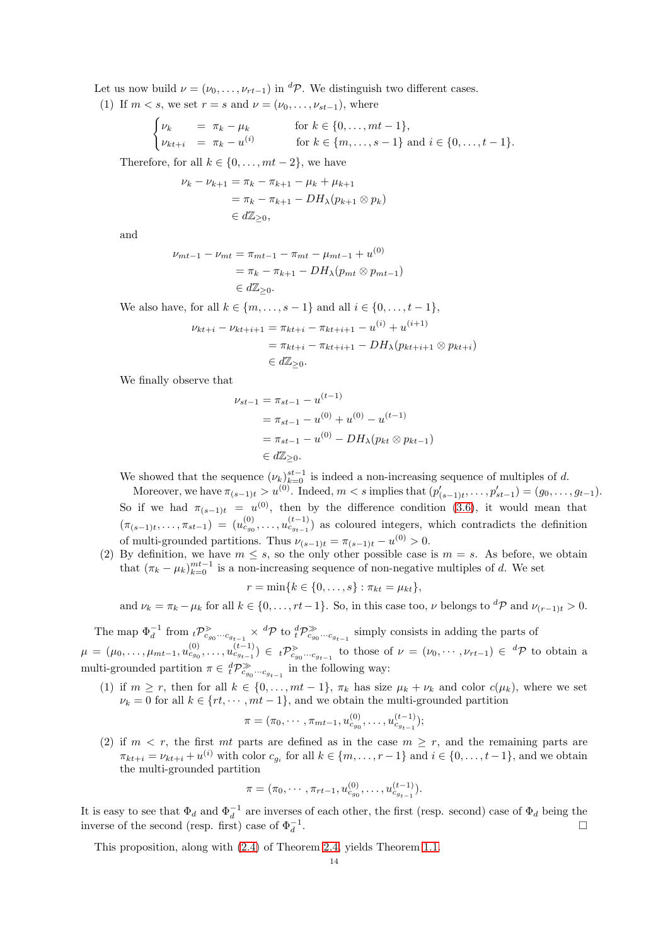Let us now build  $\nu = (\nu_0, \ldots, \nu_{rt-1})$  in <sup>d</sup> $\mathcal{P}$ . We distinguish two different cases.

(1) If  $m < s$ , we set  $r = s$  and  $\nu = (\nu_0, \ldots, \nu_{st-1})$ , where

$$
\begin{cases} \nu_k & = \pi_k - \mu_k \\ \nu_{kt+i} & = \pi_k - u^{(i)} \end{cases} \quad \text{for } k \in \{0, \dots, mt-1\}, \quad \text{for } k \in \{m, \dots, s-1\} \text{ and } i \in \{0, \dots, t-1\}.
$$

Therefore, for all  $k \in \{0, \ldots, mt-2\}$ , we have

$$
\nu_{k} - \nu_{k+1} = \pi_{k} - \pi_{k+1} - \mu_{k} + \mu_{k+1}
$$
  
=  $\pi_{k} - \pi_{k+1} - DH_{\lambda}(p_{k+1} \otimes p_{k})$   
 $\in d\mathbb{Z}_{\geq 0},$ 

and

$$
\nu_{mt-1} - \nu_{mt} = \pi_{mt-1} - \pi_{mt} - \mu_{mt-1} + u^{(0)}
$$
  
=  $\pi_k - \pi_{k+1} - DH_{\lambda}(p_{mt} \otimes p_{mt-1})$   
 $\in d\mathbb{Z}_{\geq 0}.$ 

We also have, for all  $k \in \{m, ..., s-1\}$  and all  $i \in \{0, ..., t-1\}$ ,

$$
\nu_{kt+i} - \nu_{kt+i+1} = \pi_{kt+i} - \pi_{kt+i+1} - u^{(i)} + u^{(i+1)}
$$
  
=  $\pi_{kt+i} - \pi_{kt+i+1} - DH_{\lambda}(p_{kt+i+1} \otimes p_{kt+i})$   
 $\in d\mathbb{Z}_{\geq 0}.$ 

We finally observe that

$$
\nu_{st-1} = \pi_{st-1} - u^{(t-1)} \n= \pi_{st-1} - u^{(0)} + u^{(0)} - u^{(t-1)} \n= \pi_{st-1} - u^{(0)} - DH_{\lambda}(p_{kt} \otimes p_{kt-1}) \n\in d\mathbb{Z}_{\geq 0}.
$$

We showed that the sequence  $(\nu_k)_{k=0}^{st-1}$  is indeed a non-increasing sequence of multiples of d.

Moreover, we have  $\pi_{(s-1)t} > u^{(0)}$ . Indeed,  $m < s$  implies that  $(p'_{(s-1)t}, \ldots, p'_{st-1}) = (g_0, \ldots, g_{t-1})$ . So if we had  $\pi_{(s-1)t} = u^{(0)}$ , then by the difference condition [\(3.6\)](#page-9-4), it would mean that  $(\pi_{(s-1)t},\ldots,\pi_{st-1}) = (u_{c_{g_0}}^{(0)},\ldots,u_{c_{g_{t-1}}}^{(t-1)})$  as coloured integers, which contradicts the definition of multi-grounded partitions. Thus  $\nu_{(s-1)t} = \pi_{(s-1)t} - u^{(0)} > 0$ .

(2) By definition, we have  $m \leq s$ , so the only other possible case is  $m = s$ . As before, we obtain that  $(\pi_k - \mu_k)_{k=0}^{mt-1}$  is a non-increasing sequence of non-negative multiples of d. We set

$$
r = \min\{k \in \{0, \ldots, s\} : \pi_{kt} = \mu_{kt}\},\
$$

and  $\nu_k = \pi_k - \mu_k$  for all  $k \in \{0, \ldots, rt-1\}$ . So, in this case too,  $\nu$  belongs to  ${}^d\mathcal{P}$  and  $\nu_{(r-1)t} > 0$ .

The map  $\Phi_d^{-1}$  from  ${}_{t}\mathcal{P}_{c_{g_0}\cdots c_{g_{t-1}}}^{\geq} \times {}^{d}\mathcal{P}$  to  ${}_{t}^{d}\mathcal{P}_{c_{g_0}\cdots c_{g_{t-1}}}^{\geq}$  simply consists in adding the parts of  $\mu = (\mu_0, \ldots, \mu_{mt-1}, u_{c_{g_0}}^{(0)}, \ldots, u_{c_{g_{t-1}}}^{(t-1)}) \in t\mathcal{P}_{c_{g_0} \cdots c_{g_{t-1}}}^{\geq}$  to those of  $\nu = (\nu_0, \cdots, \nu_{rt-1}) \in {}^d\mathcal{P}$  to obtain a multi-grounded partition  $\pi \in {}_{t}^{d} \mathcal{P}_{c_{g_{0}} \cdots c_{g_{t-1}}}^{\gg}$  in the following way:

(1) if  $m \ge r$ , then for all  $k \in \{0, ..., mt-1\}$ ,  $\pi_k$  has size  $\mu_k + \nu_k$  and color  $c(\mu_k)$ , where we set  $\nu_k = 0$  for all  $k \in \{rt, \dots, mt-1\}$ , and we obtain the multi-grounded partition

$$
\pi = (\pi_0, \cdots, \pi_{mt-1}, u_{c_{g_0}}^{(0)}, \ldots, u_{c_{g_{t-1}}}^{(t-1)});
$$

(2) if  $m < r$ , the first mt parts are defined as in the case  $m \geq r$ , and the remaining parts are  $\pi_{kt+i} = \nu_{kt+i} + u^{(i)}$  with color  $c_{g_i}$  for all  $k \in \{m, \ldots, r-1\}$  and  $i \in \{0, \ldots, t-1\}$ , and we obtain the multi-grounded partition

$$
\pi = (\pi_0, \cdots, \pi_{rt-1}, u_{c_{g_0}}^{(0)}, \ldots, u_{c_{g_{t-1}}}^{(t-1)}).
$$

It is easy to see that  $\Phi_d$  and  $\Phi_d^{-1}$  are inverses of each other, the first (resp. second) case of  $\Phi_d$  being the inverse of the second (resp. first) case of  $\Phi_d^{-1}$ . In the contract of the contract of the contract of the contract of the contract of the contract of the contract of the contract of the contract of the contract of the contract of the contract of the contract of the contr

This proposition, along with [\(2.4\)](#page-6-4) of Theorem [2.4,](#page-6-1) yields Theorem [1.1.](#page-2-0)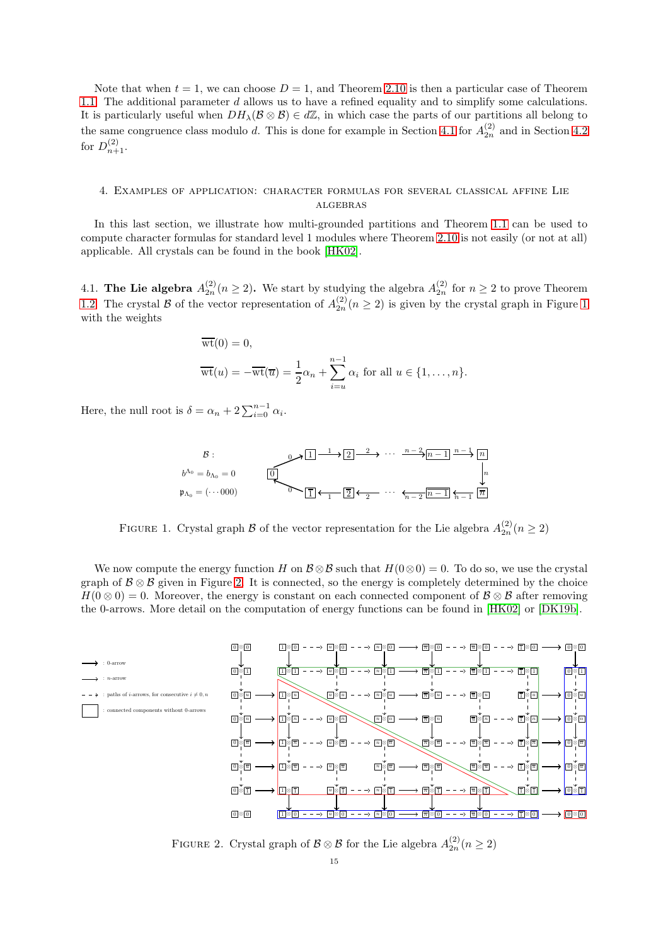Note that when  $t = 1$ , we can choose  $D = 1$ , and Theorem [2.10](#page-7-1) is then a particular case of Theorem [1.1.](#page-2-0) The additional parameter d allows us to have a refined equality and to simplify some calculations. It is particularly useful when  $DH_\lambda(\mathcal{B} \otimes \mathcal{B}) \in d\mathbb{Z}$ , in which case the parts of our partitions all belong to the same congruence class modulo d. This is done for example in Section [4.1](#page-14-1) for  $A_{2n}^{(2)}$  and in Section [4.2](#page-15-0) for  $D_{n+1}^{(2)}$ .

# <span id="page-14-0"></span>4. Examples of application: character formulas for several classical affine Lie algebras

In this last section, we illustrate how multi-grounded partitions and Theorem [1.1](#page-2-0) can be used to compute character formulas for standard level 1 modules where Theorem [2.10](#page-7-1) is not easily (or not at all) applicable. All crystals can be found in the book [\[HK02\]](#page-25-27).

<span id="page-14-1"></span>4.1. The Lie algebra  $A_{2n}^{(2)}(n \geq 2)$ . We start by studying the algebra  $A_{2n}^{(2)}$  for  $n \geq 2$  to prove Theorem [1.2.](#page-2-1) The crystal B of the vector representation of  $A_{2n}^{(2)}(n \geq 2)$  is given by the crystal graph in Figure [1](#page-14-2) with the weights

$$
\overline{\text{wt}}(0) = 0,
$$
  

$$
\overline{\text{wt}}(u) = -\overline{\text{wt}}(\overline{u}) = \frac{1}{2}\alpha_n + \sum_{i=u}^{n-1} \alpha_i \text{ for all } u \in \{1, \dots, n\}.
$$

Here, the null root is  $\delta = \alpha_n + 2 \sum_{i=0}^{n-1} \alpha_i$ .

$$
B: \qquad 0 \longrightarrow \boxed{1} \longrightarrow \boxed{2} \longrightarrow \cdots \longrightarrow \boxed{n-1} \longrightarrow \boxed{n}
$$

$$
b^{\Lambda_0} = b_{\Lambda_0} = (\cdots 000) \qquad \qquad \boxed{0} \longrightarrow \boxed{1} \leftarrow \boxed{2} \leftarrow \boxed{2} \longrightarrow \cdots \leftarrow \boxed{n-2} \boxed{n-1} \stackrel{n-1}{\uparrow}_{n-1} \boxed{n}
$$

<span id="page-14-2"></span>FIGURE 1. Crystal graph  $\mathcal B$  of the vector representation for the Lie algebra  $A_{2n}^{(2)}(n \geq 2)$ 

We now compute the energy function H on  $\mathcal{B} \otimes \mathcal{B}$  such that  $H(0 \otimes 0) = 0$ . To do so, we use the crystal graph of  $\mathcal{B} \otimes \mathcal{B}$  given in Figure [2.](#page-14-3) It is connected, so the energy is completely determined by the choice  $H(0\otimes 0) = 0$ . Moreover, the energy is constant on each connected component of  $\mathcal{B}\otimes \mathcal{B}$  after removing the 0-arrows. More detail on the computation of energy functions can be found in [\[HK02\]](#page-25-27) or [\[DK19b\]](#page-25-21).



<span id="page-14-3"></span>FIGURE 2. Crystal graph of  $\mathcal{B} \otimes \mathcal{B}$  for the Lie algebra  $A_{2n}^{(2)}(n \geq 2)$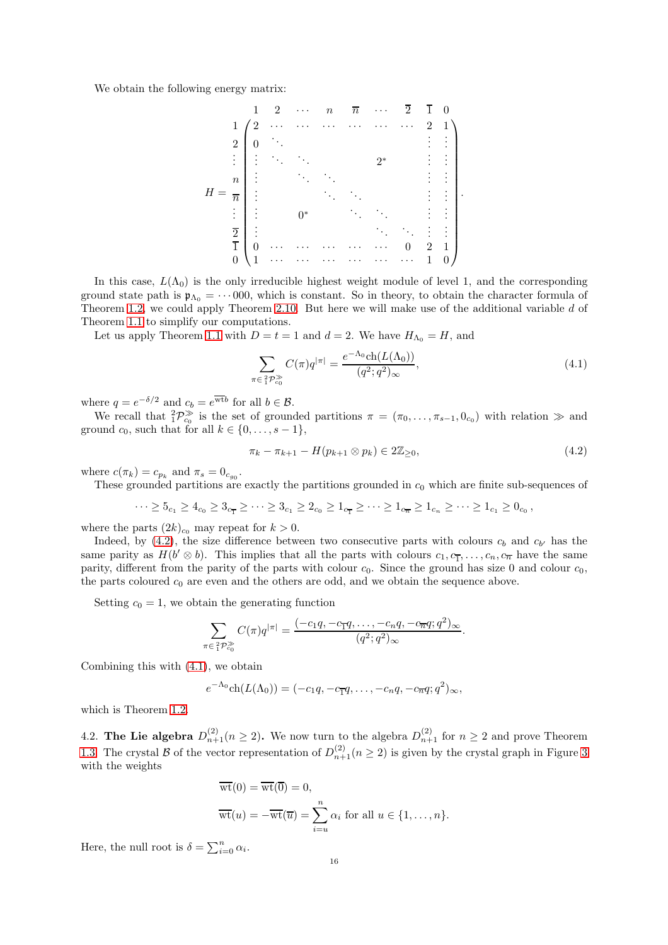We obtain the following energy matrix:

H = 1 2 · · · n n · · · 2 1 0 1 2 · · · · · · · · · · · · · · · · · · 2 1 2 0 . . . . . . . . . . . . . . . . . . . . . 2 ∗ . . . . . . n . . . . . . . . . . . . . . . n . . . . . . . . . . . . . . . . . . . . . 0<sup>∗</sup> . . . . . . . . . . . . 2 . . . . . . . . . . . . . . . 1 0 · · · · · · · · · · · · · · · 0 2 1 0 1 · · · · · · · · · · · · · · · · · · 1 0 .

In this case,  $L(\Lambda_0)$  is the only irreducible highest weight module of level 1, and the corresponding ground state path is  $\mathfrak{p}_{\Lambda_0} = \cdots 000$ , which is constant. So in theory, to obtain the character formula of Theorem [1.2,](#page-2-1) we could apply Theorem [2.10.](#page-7-1) But here we will make use of the additional variable d of Theorem [1.1](#page-2-0) to simplify our computations.

Let us apply Theorem [1.1](#page-2-0) with  $D = t = 1$  and  $d = 2$ . We have  $H_{\Lambda_0} = H$ , and

 $\pi$ 

<span id="page-15-2"></span>
$$
\sum_{\substack{\epsilon_1^2 \mathcal{P}_{c_0}^{\gg} }} C(\pi) q^{|\pi|} = \frac{e^{-\Lambda_0} \text{ch}(L(\Lambda_0))}{(q^2; q^2)_{\infty}},\tag{4.1}
$$

where  $q = e^{-\delta/2}$  and  $c_b = e^{\overline{\text{wt}}b}$  for all  $b \in \mathcal{B}$ .

We recall that  ${}_{1}^{2}P_{c_{0}}^{\gg}$  is the set of grounded partitions  $\pi = (\pi_{0}, \ldots, \pi_{s-1}, 0_{c_{0}})$  with relation  $\gg$  and ground  $c_0$ , such that for all  $k \in \{0, \ldots, s-1\},\$ 

<span id="page-15-1"></span>
$$
\pi_k - \pi_{k+1} - H(p_{k+1} \otimes p_k) \in 2\mathbb{Z}_{\geq 0},\tag{4.2}
$$

.

where  $c(\pi_k) = c_{p_k}$  and  $\pi_s = 0_{c_{g_0}}$ .

These grounded partitions are exactly the partitions grounded in  $c_0$  which are finite sub-sequences of

$$
\cdots \geq 5_{c_1} \geq 4_{c_0} \geq 3_{c_1} \geq \cdots \geq 3_{c_1} \geq 2_{c_0} \geq 1_{c_1} \geq \cdots \geq 1_{c_n} \geq 1_{c_n} \geq \cdots \geq 1_{c_1} \geq 0_{c_0},
$$

where the parts  $(2k)_{c_0}$  may repeat for  $k > 0$ .

Indeed, by  $(4.2)$ , the size difference between two consecutive parts with colours  $c_b$  and  $c_{b'}$  has the same parity as  $H(b' \otimes b)$ . This implies that all the parts with colours  $c_1, c_1, \ldots, c_n, c_{\overline{n}}$  have the same parity, different from the parity of the parts with colour  $c_0$ . Since the ground has size 0 and colour  $c_0$ , the parts coloured  $c_0$  are even and the others are odd, and we obtain the sequence above.

Setting  $c_0 = 1$ , we obtain the generating function

$$
\sum_{\pi \in {}_{1}^{2}P_{c_0}^{\gg}} C(\pi)q^{|\pi|} = \frac{(-c_1q, -c_{\overline{1}}q, \dots, -c_nq, -c_{\overline{n}}q; q^2)_{\infty}}{(q^2; q^2)_{\infty}}
$$

Combining this with [\(4.1\)](#page-15-2), we obtain

$$
e^{-\Lambda_0} \mathrm{ch}(L(\Lambda_0)) = (-c_1q, -c_{\overline{1}}q, \ldots, -c_nq, -c_{\overline{n}}q; q^2)_{\infty},
$$

which is Theorem [1.2.](#page-2-1)

<span id="page-15-0"></span>4.2. The Lie algebra  $D_{n+1}^{(2)}(n \geq 2)$ . We now turn to the algebra  $D_{n+1}^{(2)}$  for  $n \geq 2$  and prove Theorem [1.3.](#page-2-2) The crystal B of the vector representation of  $D_{n+1}^{(2)}(n \geq 2)$  is given by the crystal graph in Figure [3](#page-16-0) with the weights

$$
\overline{\text{wt}}(0) = \overline{\text{wt}}(\overline{0}) = 0,
$$
  

$$
\overline{\text{wt}}(u) = -\overline{\text{wt}}(\overline{u}) = \sum_{i=u}^{n} \alpha_i \text{ for all } u \in \{1, \dots, n\}.
$$

Here, the null root is  $\delta = \sum_{i=0}^{n} \alpha_i$ .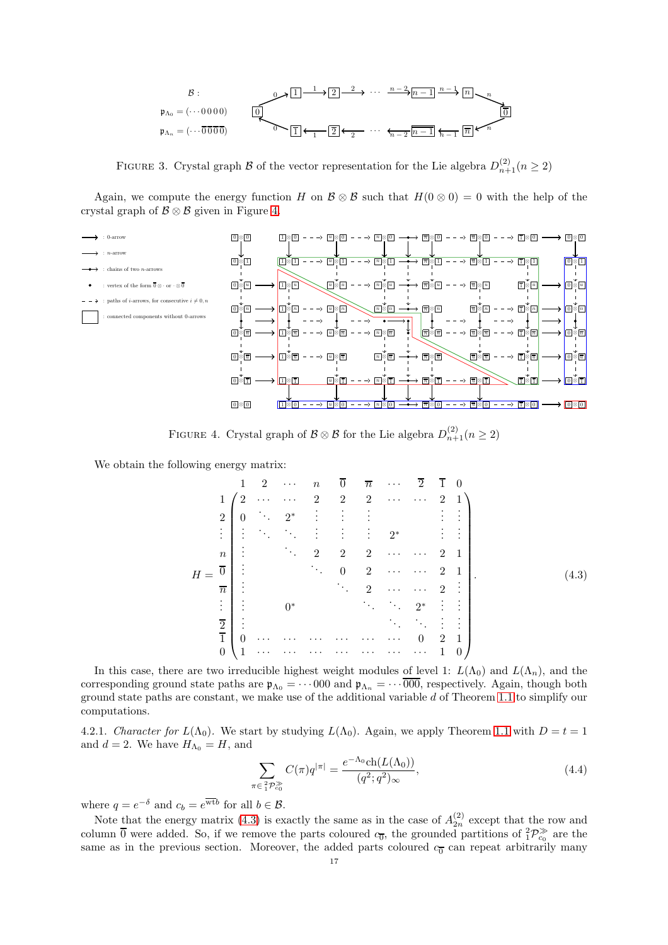

<span id="page-16-0"></span>FIGURE 3. Crystal graph  $\mathcal B$  of the vector representation for the Lie algebra  $D_{n+1}^{(2)}(n \ge 2)$ 

Again, we compute the energy function H on  $\mathcal{B} \otimes \mathcal{B}$  such that  $H(0 \otimes 0) = 0$  with the help of the crystal graph of  $\mathcal{B} \otimes \mathcal{B}$  given in Figure [4.](#page-16-1)



FIGURE 4. Crystal graph of  $\mathcal{B} \otimes \mathcal{B}$  for the Lie algebra  $D_{n+1}^{(2)}(n \ge 2)$ 

We obtain the following energy matrix:

<span id="page-16-2"></span><span id="page-16-1"></span>H = 1 2 · · · n 0 n · · · 2 1 0 1 2 · · · · · · 2 2 2 · · · · · · 2 1 2 0 . . . 2 ∗ . . . . . . . . . . . . . . . . . . . . . . . . . . . . . . . . . . . . 2<sup>∗</sup> . . . . . . n . . . . . . 2 2 2 · · · · · · 2 1 0 . . . . . . 0 2 · · · · · · 2 1 n . . . . . . 2 · · · · · · 2 . . . . . . . . . 0<sup>∗</sup> . . . . . . 2 ∗ . . . . . . 2 . . . . . . . . . . . . . . . 1 0 · · · · · · · · · · · · · · · · · · 0 2 1 0 1 · · · · · · · · · · · · · · · · · · · · · 1 0 . (4.3)

In this case, there are two irreducible highest weight modules of level 1:  $L(\Lambda_0)$  and  $L(\Lambda_n)$ , and the corresponding ground state paths are  $\mathfrak{p}_{\Lambda_0} = \cdots 000$  and  $\mathfrak{p}_{\Lambda_n} = \cdots 000$ , respectively. Again, though both ground state paths are constant, we make use of the additional variable d of Theorem [1.1](#page-2-0) to simplify our computations.

4.2.1. Character for  $L(\Lambda_0)$ . We start by studying  $L(\Lambda_0)$ . Again, we apply Theorem [1.1](#page-2-0) with  $D = t = 1$ and  $d = 2$ . We have  $H_{\Lambda_0} = H$ , and

<span id="page-16-3"></span>
$$
\sum_{\pi \in {}_{1}^{2}P_{c_{0}}^{\gg}} C(\pi)q^{|\pi|} = \frac{e^{-\Lambda_{0}} \text{ch}(L(\Lambda_{0}))}{(q^{2};q^{2})_{\infty}},
$$
\n(4.4)

where  $q = e^{-\delta}$  and  $c_b = e^{\overline{\text{wt}}b}$  for all  $b \in \mathcal{B}$ .

Note that the energy matrix [\(4.3\)](#page-16-2) is exactly the same as in the case of  $A_{2n}^{(2)}$  except that the row and column  $\overline{0}$  were added. So, if we remove the parts coloured  $c_{\overline{0}}$ , the grounded partitions of  ${}_{1}^{2}P_{c_{0}}^{\gg}$  are the same as in the previous section. Moreover, the added parts coloured  $c_{\overline{0}}$  can repeat arbitrarily many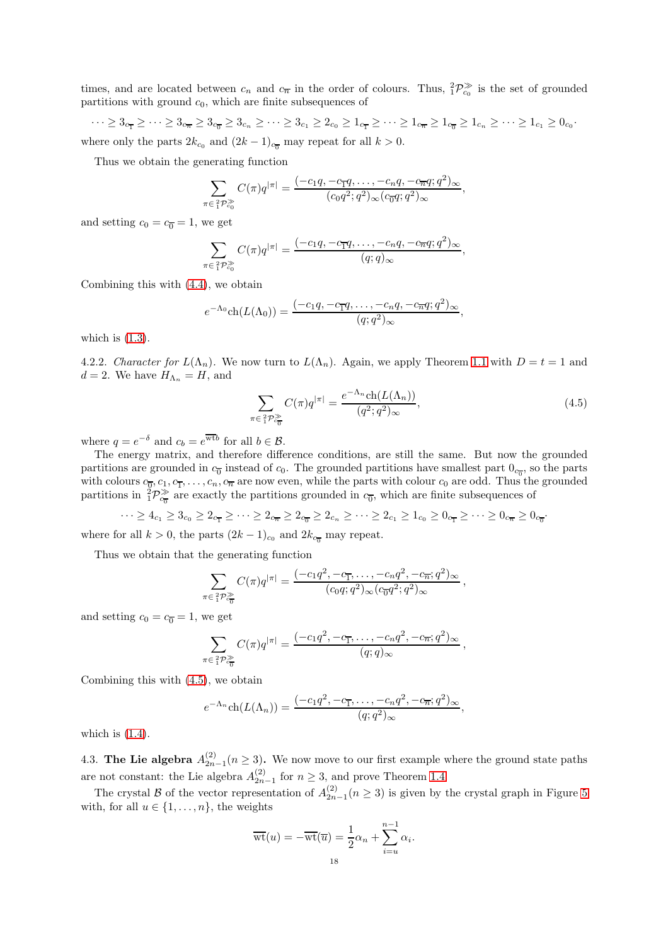times, and are located between  $c_n$  and  $c_{\overline{n}}$  in the order of colours. Thus,  ${}_{1}^{2}P_{c_{0}}^{\gg}$  is the set of grounded partitions with ground  $c_0$ , which are finite subsequences of

 $\cdots \geq 3_{c_{\overline{1}}} \geq \cdots \geq 3_{c_{\overline{n}}} \geq 3_{c_{\overline{0}}} \geq 3_{c_n} \geq \cdots \geq 3_{c_1} \geq 2_{c_0} \geq 1_{c_{\overline{1}}} \geq \cdots \geq 1_{c_{\overline{n}}} \geq 1_{c_{\overline{n}}} \geq 1_{c_n} \geq \cdots \geq 1_{c_1} \geq 0_{c_0}$ 

where only the parts  $2k_{c_0}$  and  $(2k-1)_{c_{\overline{0}}}$  may repeat for all  $k > 0$ .

Thus we obtain the generating function

$$
\sum_{\pi \in \frac{2}{1}\mathcal{P}_{c_0}^{\gg}} C(\pi)q^{|\pi|} = \frac{(-c_1q, -c_{\overline{1}}q, \dots, -c_nq, -c_{\overline{n}}q; q^2)_{\infty}}{(c_0q^2; q^2)_{\infty}(c_{\overline{0}}q; q^2)_{\infty}}
$$

and setting  $c_0 = c_{\overline{0}} = 1$ , we get

$$
\sum_{\pi \in \frac{2}{1} \mathcal{P}^{\gg}_{c_0}} C(\pi) q^{|\pi|} = \frac{(-c_1 q, -c_{\overline{1}} q, \dots, -c_n q, -c_{\overline{n}} q; q^2)_{\infty}}{(q; q)_{\infty}}
$$

Combining this with [\(4.4\)](#page-16-3), we obtain

$$
e^{-\Lambda_0} \text{ch}(L(\Lambda_0)) = \frac{(-c_1q, -c_{\overline{1}}q, \dots, -c_nq, -c_{\overline{n}}q; q^2)_{\infty}}{(q; q^2)_{\infty}},
$$

which is  $(1.3)$ .

4.2.2. Character for  $L(\Lambda_n)$ . We now turn to  $L(\Lambda_n)$ . Again, we apply Theorem [1.1](#page-2-0) with  $D = t = 1$  and  $d = 2$ . We have  $H_{\Lambda_n} = H$ , and

<span id="page-17-0"></span>
$$
\sum_{\pi \in \frac{2}{1} \mathcal{P}_{c_0}^{\gg}} C(\pi) q^{|\pi|} = \frac{e^{-\Lambda_n} \text{ch}(L(\Lambda_n))}{(q^2; q^2)_{\infty}},\tag{4.5}
$$

,

,

,

where  $q = e^{-\delta}$  and  $c_b = e^{\overline{\text{wt}}b}$  for all  $b \in \mathcal{B}$ .

The energy matrix, and therefore difference conditions, are still the same. But now the grounded partitions are grounded in  $c_0$  instead of  $c_0$ . The grounded partitions have smallest part  $0_{c_0}$ , so the parts with colours  $c_{\overline{0}}$ ,  $c_1$ ,  $c_1$ , ...,  $c_n$ ,  $c_{\overline{n}}$  are now even, while the parts with colour  $c_0$  are odd. Thus the grounded partitions in  ${}^2P^{\gg}_{c}$  are exactly the partitions grounded in  $c_0$ , which are finite subsequences of

 $\cdots \ge 4_{c_1} \ge 3_{c_0} \ge 2_{c_{\overline{1}}} \ge \cdots \ge 2_{c_{\overline{n}}} \ge 2_{c_{\overline{0}}} \ge 2_{c_n} \ge \cdots \ge 2_{c_1} \ge 1_{c_0} \ge 0_{c_{\overline{1}}} \ge \cdots \ge 0_{c_{\overline{n}}} \ge 0_{c_{\overline{0}}}$ 

where for all  $k > 0$ , the parts  $(2k-1)_{c_0}$  and  $2k_{c_{\overline{n}}}$  may repeat.

Thus we obtain that the generating function

$$
\sum_{\pi \in \frac{2}{1} \mathcal{P}_{c_0}^{\gg}} C(\pi) q^{|\pi|} = \frac{(-c_1 q^2, -c_{\overline{1}}, \dots, -c_n q^2, -c_{\overline{n}}; q^2)_{\infty}}{(c_0 q; q^2)_{\infty} (c_{\overline{0}} q^2; q^2)_{\infty}}
$$

and setting  $c_0 = c_{\overline{0}} = 1$ , we get

$$
\sum_{\pi \in \frac{2}{1}\mathcal{P}_{c_{\overline{0}}}^{\gg}} C(\pi)q^{|\pi|} = \frac{(-c_1q^2, -c_{\overline{1}}, \dots, -c_nq^2, -c_{\overline{n}}; q^2)_{\infty}}{(q;q)_{\infty}},
$$

Combining this with [\(4.5\)](#page-17-0), we obtain

$$
e^{-\Lambda_n} \mathrm{ch}(L(\Lambda_n)) = \frac{(-c_1 q^2, -c_{\overline{1}}, \dots, -c_n q^2, -c_{\overline{n}}; q^2)_{\infty}}{(q; q^2)_{\infty}},
$$

which is  $(1.4)$ .

4.3. The Lie algebra  $A_{2n-1}^{(2)}(n \geq 3)$ . We now move to our first example where the ground state paths are not constant: the Lie algebra  $A_{2n-1}^{(2)}$  for  $n \geq 3$ , and prove Theorem [1.4.](#page-3-1)

The crystal B of the vector representation of  $A_{2n-1}^{(2)}(n \geq 3)$  is given by the crystal graph in Figure [5](#page-18-0) with, for all  $u \in \{1, \ldots, n\}$ , the weights

$$
\overline{\text{wt}}(u) = -\overline{\text{wt}}(\overline{u}) = \frac{1}{2}\alpha_n + \sum_{i=u}^{n-1} \alpha_i.
$$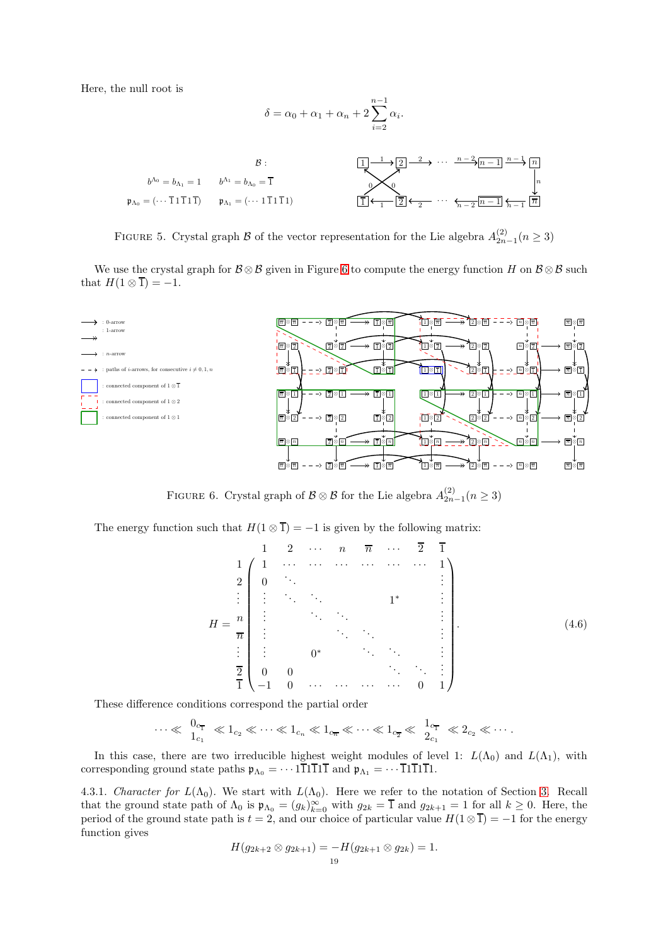Here, the null root is

δ = α<sup>0</sup> + α<sup>1</sup> + α<sup>n</sup> + 2 nX−1 i=2 αi . B : b <sup>Λ</sup><sup>0</sup> = b<sup>Λ</sup><sup>1</sup> = 1 b <sup>Λ</sup><sup>1</sup> = b<sup>Λ</sup><sup>0</sup> = 1 p<sup>Λ</sup><sup>0</sup> = (· · · 1 1 1 1 1) p<sup>Λ</sup><sup>1</sup> = (· · · 1 1 1 1 1) 1 2 · · · n − 1 n 1 2 · · · n − 1 n 0 0 1 1 2 2 n − 2 n − 2 n − 1 n − 1 n

<span id="page-18-0"></span>FIGURE 5. Crystal graph B of the vector representation for the Lie algebra  $A_{2n-1}^{(2)}(n \geq 3)$ 

We use the crystal graph for  $\mathcal{B} \otimes \mathcal{B}$  given in Figure [6](#page-18-1) to compute the energy function H on  $\mathcal{B} \otimes \mathcal{B}$  such that  $H(1 \otimes \overline{1}) = -1$ .



FIGURE 6. Crystal graph of  $\mathcal{B} \otimes \mathcal{B}$  for the Lie algebra  $A_{2n-1}^{(2)}(n \geq 3)$ 

The energy function such that  $H(1 \otimes \overline{1}) = -1$  is given by the following matrix:

<span id="page-18-2"></span><span id="page-18-1"></span>
$$
H = \frac{n}{2} \begin{pmatrix} 1 & 2 & \cdots & n & \overline{n} & \cdots & \overline{2} & \overline{1} \\ 1 & 1 & \cdots & \cdots & \cdots & \cdots & \cdots & 1 \\ 2 & 0 & \ddots & & & & & 1 \\ \vdots & \ddots & \ddots & & & & & \vdots \\ \vdots & & & & & \ddots & & & \vdots \\ \vdots & & & & & & \ddots & & \vdots \\ \vdots & & & & & & & \vdots \\ \vdots & & & & & & & \vdots \\ \vdots & & & & & & & \vdots \\ \hline \overline{2} & 0 & 0 & & & & & \ddots & \vdots \\ -1 & 0 & \cdots & \cdots & \cdots & \cdots & 0 & 1 \end{pmatrix} .
$$
 (4.6)

These difference conditions correspond the partial order

$$
\cdots \ll \frac{0_{c_{\overline{1}}}}{1_{c_1}} \ll 1_{c_2} \ll \cdots \ll 1_{c_n} \ll 1_{c_{\overline{n}}} \ll \cdots \ll 1_{c_{\overline{2}}} \ll \frac{1_{c_{\overline{1}}}}{2_{c_1}} \ll 2_{c_2} \ll \cdots
$$

In this case, there are two irreducible highest weight modules of level 1:  $L(\Lambda_0)$  and  $L(\Lambda_1)$ , with corresponding ground state paths  $\mathfrak{p}_{\Lambda_0} = \cdots 1\overline{1}1\overline{1}1\overline{1}$  and  $\mathfrak{p}_{\Lambda_1} = \cdots \overline{1}1\overline{1}1\overline{1}1$ .

<span id="page-18-3"></span>4.3.1. Character for  $L(\Lambda_0)$ . We start with  $L(\Lambda_0)$ . Here we refer to the notation of Section [3.](#page-8-0) Recall that the ground state path of  $\Lambda_0$  is  $\mathfrak{p}_{\Lambda_0} = (g_k)_{k=0}^{\infty}$  with  $g_{2k} = \overline{1}$  and  $g_{2k+1} = 1$  for all  $k \geq 0$ . Here, the period of the ground state path is  $t = 2$ , and our choice of particular value  $H(1 \otimes \overline{1}) = -1$  for the energy function gives

$$
H(g_{2k+2}\otimes g_{2k+1})=-H(g_{2k+1}\otimes g_{2k})=1.
$$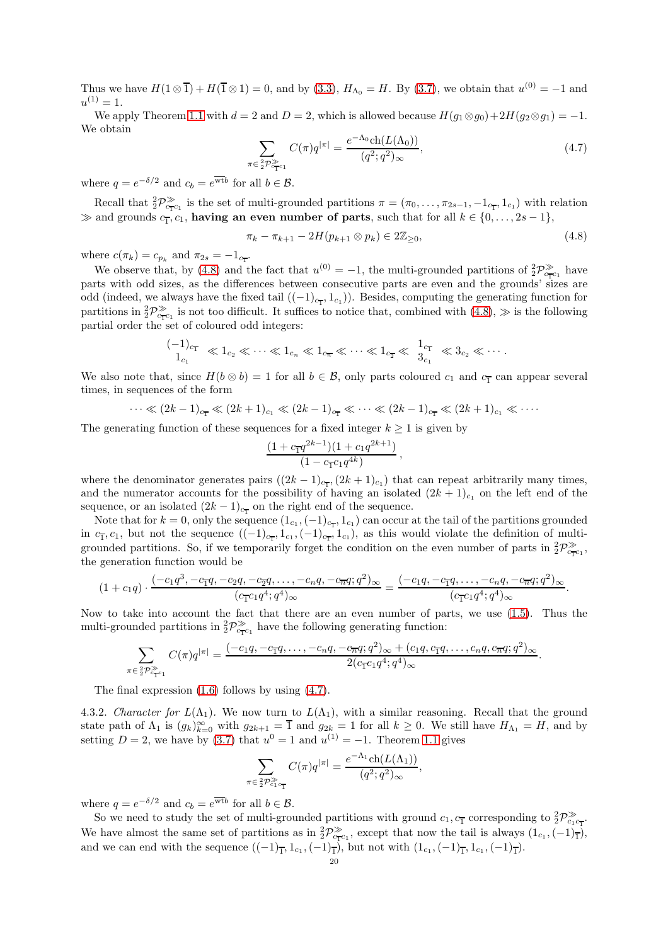Thus we have  $H(1 \otimes \overline{1}) + H(\overline{1} \otimes 1) = 0$ , and by [\(3.3\)](#page-9-3),  $H_{\Lambda_0} = H$ . By [\(3.7\)](#page-9-2), we obtain that  $u^{(0)} = -1$  and  $u^{(1)}=1.$ 

We apply Theorem [1.1](#page-2-0) with  $d = 2$  and  $D = 2$ , which is allowed because  $H(g_1 \otimes g_0) + 2H(g_2 \otimes g_1) = -1$ . We obtain

<span id="page-19-1"></span>
$$
\sum_{\pi \in \frac{2}{2} \mathcal{P}_{\mathsf{c}_1^{\infty} \mathsf{c}_1}^{\geq 2}} C(\pi) q^{|\pi|} = \frac{e^{-\Lambda_0} \mathrm{ch}(L(\Lambda_0))}{(q^2; q^2)_{\infty}},\tag{4.7}
$$

where  $q = e^{-\delta/2}$  and  $c_b = e^{\overline{\text{wt}}b}$  for all  $b \in \mathcal{B}$ .

Recall that  ${}_{2}^{2}\mathcal{P}_{c_{\mathbf{T}c_{1}}}^{\gg}$  is the set of multi-grounded partitions  $\pi = (\pi_{0}, \ldots, \pi_{2s-1}, -1_{c_{\mathbf{T}}}, 1_{c_{1}})$  with relation  $\gg$  and grounds  $c_1, c_1$ , having an even number of parts, such that for all  $k \in \{0, \ldots, 2s - 1\}$ ,

<span id="page-19-0"></span>
$$
\pi_k - \pi_{k+1} - 2H(p_{k+1} \otimes p_k) \in 2\mathbb{Z}_{\geq 0},\tag{4.8}
$$

where  $c(\pi_k) = c_{p_k}$  and  $\pi_{2s} = -1_{c_{\overline{1}}}$ .

We observe that, by [\(4.8\)](#page-19-0) and the fact that  $u^{(0)} = -1$ , the multi-grounded partitions of  ${}_{2}^{2}P_{c_{T}c_{1}}^{\gg}$  have parts with odd sizes, as the differences between consecutive parts are even and the grounds' sizes are odd (indeed, we always have the fixed tail  $((-1)_{c_{\overline{1}}}, 1_{c_1})$ ). Besides, computing the generating function for partitions in  ${}_{2}^{2}P_{c_{T}c_{1}}^{\gg}$  is not too difficult. It suffices to notice that, combined with  $(4.8)$ ,  $\gg$  is the following partial order the set of coloured odd integers:

$$
\frac{(-1)_{c_{\overline{1}}}}{1_{c_1}} \ll 1_{c_2} \ll \cdots \ll 1_{c_n} \ll 1_{c_{\overline{n}}} \ll \cdots \ll 1_{c_{\overline{2}}} \ll \frac{1_{c_{\overline{1}}}}{3_{c_1}} \ll 3_{c_2} \ll \cdots
$$

We also note that, since  $H(b \otimes b) = 1$  for all  $b \in \mathcal{B}$ , only parts coloured  $c_1$  and  $c_1$  can appear several times, in sequences of the form

$$
\cdots \ll (2k-1)_{c_{\overline{1}}} \ll (2k+1)_{c_1} \ll (2k-1)_{c_{\overline{1}}} \ll \cdots \ll (2k-1)_{c_{\overline{1}}} \ll (2k+1)_{c_1} \ll \cdots
$$

The generating function of these sequences for a fixed integer  $k \geq 1$  is given by

$$
\frac{(1+c_{\overline{1}}q^{2k-1})(1+c_1q^{2k+1})}{(1-c_{\overline{1}}c_1q^{4k})}\,,
$$

where the denominator generates pairs  $((2k-1)_{c_{\text{T}}}, (2k+1)_{c_1})$  that can repeat arbitrarily many times, and the numerator accounts for the possibility of having an isolated  $(2k+1)<sub>c1</sub>$  on the left end of the sequence, or an isolated  $(2k-1)_{c_{\overline{1}}}$  on the right end of the sequence.

Note that for  $k = 0$ , only the sequence  $(1_{c_1}, (-1)_{c_{\overline{1}}}, 1_{c_1})$  can occur at the tail of the partitions grounded in  $c_1$ ,  $c_1$ , but not the sequence  $((-1)_{c_1}, 1_{c_1}, (-1)_{c_1}, 1_{c_1})$ , as this would violate the definition of multigrounded partitions. So, if we temporarily forget the condition on the even number of parts in  ${}_{2}^{2}\mathcal{P}_{c_{\overline{1}}c_{1}}^{\gg}$ , the generation function would be

$$
(1 + c_1q) \cdot \frac{(-c_1q^3, -c_1q, -c_2q, -c_2q, \dots, -c_nq, -c_nq; q^2)_{\infty}}{(c_1c_1q^4; q^4)_{\infty}} = \frac{(-c_1q, -c_1q, \dots, -c_nq, -c_nq; q^2)_{\infty}}{(c_1c_1q^4; q^4)_{\infty}}.
$$

Now to take into account the fact that there are an even number of parts, we use [\(1.5\)](#page-3-2). Thus the multi-grounded partitions in  ${}_{2}^{2}P_{c_{\overline{1}}c_{1}}^{\gg}$  have the following generating function:

$$
\sum_{\substack{\epsilon_2^2 \mathcal{P}_{c_1 c_1}^{\gg} }} C(\pi) q^{|\pi|} = \frac{(-c_1 q, -c_1 q, \dots, -c_n q, -c_n q; q^2)_{\infty} + (c_1 q, c_1 q, \dots, c_n q, c_n q; q^2)_{\infty}}{2(c_1 c_1 q^4; q^4)_{\infty}}.
$$

The final expression [\(1.6\)](#page-3-3) follows by using [\(4.7\)](#page-19-1).

4.3.2. Character for  $L(\Lambda_1)$ . We now turn to  $L(\Lambda_1)$ , with a similar reasoning. Recall that the ground state path of  $\Lambda_1$  is  $(g_k)_{k=0}^{\infty}$  with  $g_{2k+1} = \overline{1}$  and  $g_{2k} = 1$  for all  $k \ge 0$ . We still have  $H_{\Lambda_1} = H$ , and by setting  $D = 2$ , we have by [\(3.7\)](#page-9-2) that  $u^0 = 1$  and  $u^{(1)} = -1$ . Theorem [1.1](#page-2-0) gives

$$
\sum_{\pi \in \frac{2}{2} \mathcal{P}_{c_1 c_1}^{\gg}} C(\pi) q^{|\pi|} = \frac{e^{-\Lambda_1} \text{ch}(L(\Lambda_1))}{(q^2; q^2)_{\infty}},
$$

where  $q = e^{-\delta/2}$  and  $c_b = e^{\overline{\text{wt}}b}$  for all  $b \in \mathcal{B}$ .

 $\pi$ 

So we need to study the set of multi-grounded partitions with ground  $c_1, c_1$  corresponding to  $\frac{2}{2}P_{c_1c_1}^{\gg}$ . We have almost the same set of partitions as in  ${}_{2}^{2}\mathcal{P}_{c_{\text{TC}}}^{\gg}$ , except that now the tail is always  $(1_{c_{1}}, (-1)_{\overline{1}})$ , and we can end with the sequence  $((-1)_{\overline{1}}, 1_{c_1}, (-1)_{\overline{1}})$ , but not with  $(1_{c_1}, (-1)_{\overline{1}}, 1_{c_1}, (-1)_{\overline{1}})$ .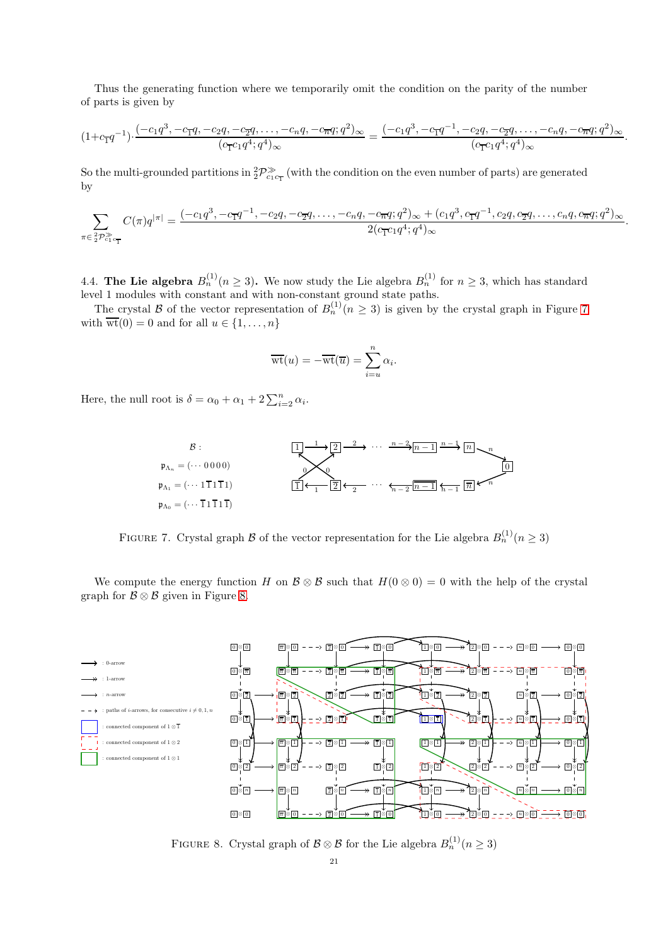Thus the generating function where we temporarily omit the condition on the parity of the number of parts is given by

$$
(1+c_{\overline{1}}q^{-1}) \cdot \frac{(-c_1q^3, -c_{\overline{1}}q, -c_2q, -c_2q, \dots, -c_nq, -c_{\overline{n}}q; q^2)_{\infty}}{(c_{\overline{1}}c_1q^4; q^4)_{\infty}} = \frac{(-c_1q^3, -c_{\overline{1}}q^{-1}, -c_2q, -c_{\overline{2}}q, \dots, -c_nq, -c_{\overline{n}}q; q^2)_{\infty}}{(c_{\overline{1}}c_1q^4; q^4)_{\infty}}
$$

.

So the multi-grounded partitions in  ${}^2_2\mathcal{P}^{\gg}_{c_1c_1}$  (with the condition on the even number of parts) are generated by

$$
\sum_{\pi \in \frac{2}{2} \mathcal{P}_{c_1 c_1}^{\gg}} C(\pi) q^{|\pi|} = \frac{(-c_1 q^3, -c_1 q^{-1}, -c_2 q, -c_2 q, \dots, -c_n q, -c_n q; q^2)_{\infty} + (c_1 q^3, c_1 q^{-1}, c_2 q, c_2 q, \dots, c_n q, c_n q; q^2)_{\infty}}{2(c_1 c_1 q^4; q^4)_{\infty}}.
$$

4.4. The Lie algebra  $B_n^{(1)}(n \geq 3)$ . We now study the Lie algebra  $B_n^{(1)}$  for  $n \geq 3$ , which has standard level 1 modules with constant and with non-constant ground state paths.

The crystal B of the vector representation of  $B_n^{(1)}(n \geq 3)$  is given by the crystal graph in Figure [7](#page-20-0) with  $\overline{\text{wt}}(0) = 0$  and for all  $u \in \{1, \ldots, n\}$ 

$$
\overline{\text{wt}}(u) = -\overline{\text{wt}}(\overline{u}) = \sum_{i=u}^{n} \alpha_i.
$$

Here, the null root is  $\delta = \alpha_0 + \alpha_1 + 2 \sum_{i=2}^n \alpha_i$ .



<span id="page-20-0"></span>FIGURE 7. Crystal graph B of the vector representation for the Lie algebra  $B_n^{(1)}(n \geq 3)$ 

We compute the energy function H on  $\mathcal{B} \otimes \mathcal{B}$  such that  $H(0 \otimes 0) = 0$  with the help of the crystal graph for  $\mathcal{B} \otimes \mathcal{B}$  given in Figure [8.](#page-20-1)



<span id="page-20-1"></span>FIGURE 8. Crystal graph of  $\mathcal{B} \otimes \mathcal{B}$  for the Lie algebra  $B_n^{(1)}(n \geq 3)$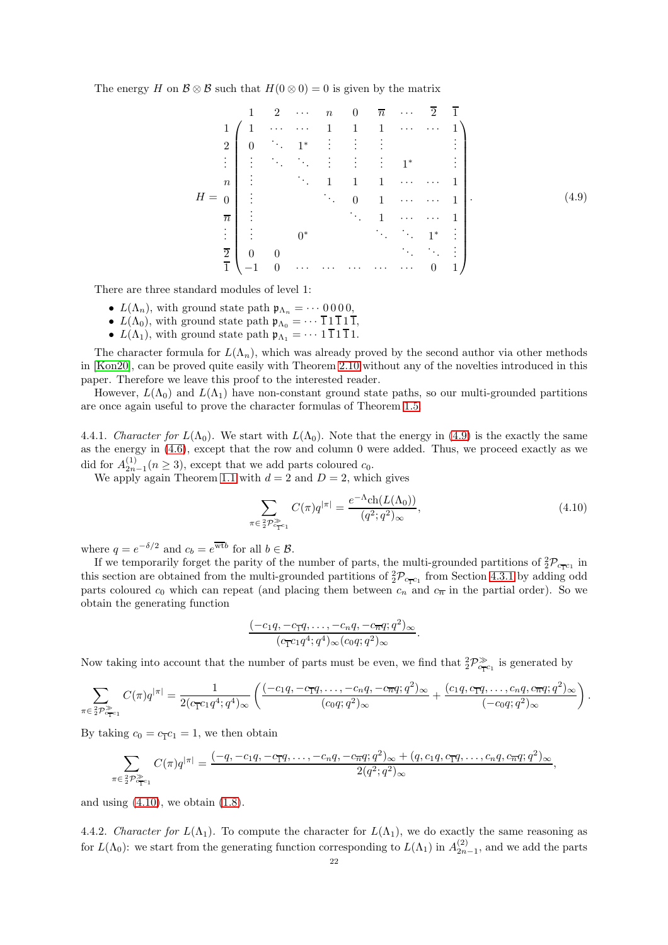The energy H on  $\mathcal{B} \otimes \mathcal{B}$  such that  $H(0 \otimes 0) = 0$  is given by the matrix

<span id="page-21-0"></span>
$$
H = \begin{pmatrix}\n1 & 2 & \cdots & n & 0 & \overline{n} & \cdots & \overline{2} & \overline{1} \\
1 & 1 & \cdots & \cdots & 1 & 1 & 1 & \cdots & \cdots & 1 \\
2 & 0 & \ddots & 1^* & \vdots & \vdots & \vdots & & & \vdots \\
\vdots & \ddots & \ddots & \vdots & \vdots & \vdots & 1^* & & \vdots \\
n & \vdots & & \ddots & 1 & 1 & 1 & \cdots & \cdots & 1 \\
\vdots & & & \ddots & 0 & 1 & \cdots & \cdots & 1 \\
\overline{n} & \vdots & & & \ddots & 1 & \cdots & \cdots & 1 \\
\vdots & \vdots & & & \ddots & \ddots & 1^* & \vdots \\
\overline{2} & 0 & 0 & & & & \ddots & \ddots & \vdots \\
-1 & 0 & \cdots & \cdots & \cdots & \cdots & \cdots & 0 & 1\n\end{pmatrix}.
$$
\n(4.9)

There are three standard modules of level 1:

- $L(\Lambda_n)$ , with ground state path  $\mathfrak{p}_{\Lambda_n} = \cdots 0000$ ,
- $L(\Lambda_0)$ , with ground state path  $\mathfrak{p}_{\Lambda_0} = \cdots \overline{1} 1 \overline{1} 1 \overline{1}$ ,
- $L(\Lambda_1)$ , with ground state path  $\mathfrak{p}_{\Lambda_1} = \cdots 1 \overline{1} 1 \overline{1} 1$ .

The character formula for  $L(\Lambda_n)$ , which was already proved by the second author via other methods in [\[Kon20\]](#page-25-23), can be proved quite easily with Theorem [2.10](#page-7-1) without any of the novelties introduced in this paper. Therefore we leave this proof to the interested reader.

However,  $L(\Lambda_0)$  and  $L(\Lambda_1)$  have non-constant ground state paths, so our multi-grounded partitions are once again useful to prove the character formulas of Theorem [1.5.](#page-3-4)

4.4.1. Character for  $L(\Lambda_0)$ . We start with  $L(\Lambda_0)$ . Note that the energy in [\(4.9\)](#page-21-0) is the exactly the same as the energy in [\(4.6\)](#page-18-2), except that the row and column 0 were added. Thus, we proceed exactly as we did for  $A_{2n-1}^{(1)}(n \ge 3)$ , except that we add parts coloured  $c_0$ .

We apply again Theorem [1.1](#page-2-0) with  $d = 2$  and  $D = 2$ , which gives

<span id="page-21-1"></span>
$$
\sum_{\pi \in \frac{2}{2} \mathcal{P}_{\mathcal{T}^{c_1}}^{\gg}} C(\pi) q^{|\pi|} = \frac{e^{-\Lambda} \mathrm{ch}(L(\Lambda_0))}{(q^2; q^2)_{\infty}},\tag{4.10}
$$

where  $q = e^{-\delta/2}$  and  $c_b = e^{\overline{\text{wt}}b}$  for all  $b \in \mathcal{B}$ .

If we temporarily forget the parity of the number of parts, the multi-grounded partitions of  ${}_{2}^{2}\mathcal{P}_{c_{T}c_{1}}$  in this section are obtained from the multi-grounded partitions of  ${}_{2}^{2}\mathcal{P}_{c_{T}c_{1}}$  from Section [4.3.1](#page-18-3) by adding odd parts coloured  $c_0$  which can repeat (and placing them between  $c_n$  and  $c_{\overline{n}}$  in the partial order). So we obtain the generating function

$$
\frac{(-c_1q,-c_1q,\ldots,-c_nq,-c_nq;q^2)_{\infty}}{(c_1c_1q^4;q^4)_{\infty}(c_0q;q^2)_{\infty}}.
$$

Now taking into account that the number of parts must be even, we find that  ${}_{2}^{2}P_{c_{\overline{1}}c_{1}}^{\gg}$  is generated by

$$
\sum_{\pi \in \frac{2}{2}\mathcal{P}_{c_{\mathbf{T}^{c_1}}}^{\gg}} C(\pi)q^{|\pi|} = \frac{1}{2(c_{\mathbf{T}^{c_1}q^4;q^4)_{\infty}}\left(\frac{(-c_1q,-c_{\mathbf{T}^{q}},\ldots,-c_nq,-c_{\overline{n}q};q^2)_{\infty}}{(c_0q;q^2)_{\infty}} + \frac{(c_1q,c_{\mathbf{T}^{q}},\ldots,c_nq,c_{\overline{n}q};q^2)_{\infty}}{(-c_0q;q^2)_{\infty}}\right).
$$

By taking  $c_0 = c_{\overline{1}} c_1 = 1$ , we then obtain

$$
\sum_{\pi \in \frac{2}{2} \mathcal{P}_{c_{\overline{1}} c_1}^{\gg}} C(\pi) q^{|\pi|} = \frac{(-q, -c_1 q, -c_{\overline{1}} q, \dots, -c_n q, -c_{\overline{n}} q; q^2)_{\infty} + (q, c_1 q, c_{\overline{1}} q, \dots, c_n q, c_{\overline{n}} q; q^2)_{\infty}}{2(q^2; q^2)_{\infty}},
$$

and using  $(4.10)$ , we obtain  $(1.8)$ .

4.4.2. Character for  $L(\Lambda_1)$ . To compute the character for  $L(\Lambda_1)$ , we do exactly the same reasoning as for  $L(\Lambda_0)$ : we start from the generating function corresponding to  $L(\Lambda_1)$  in  $A_{2n-1}^{(2)}$ , and we add the parts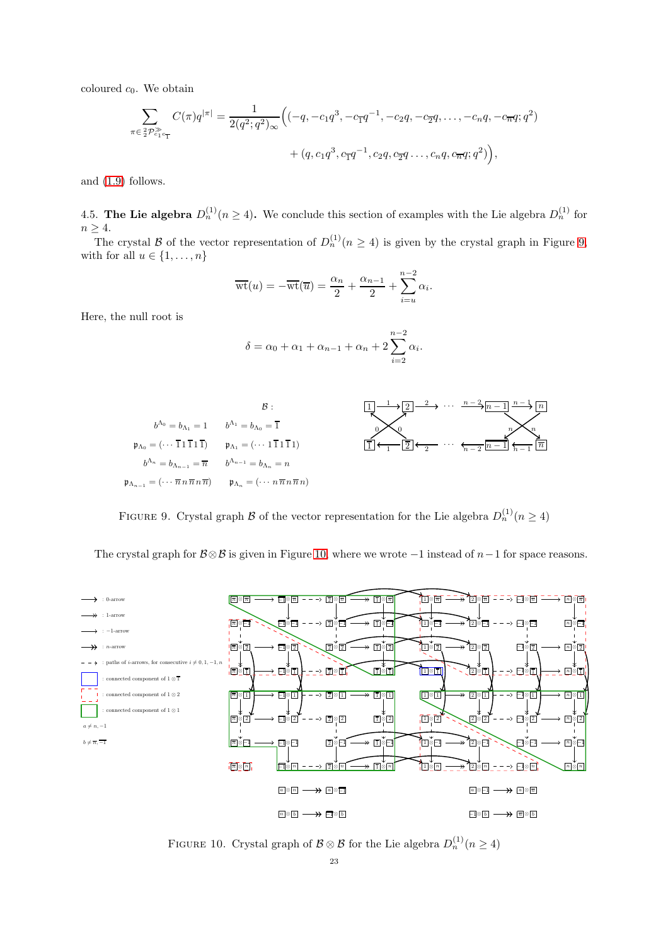coloured  $c_0$ . We obtain

$$
\sum_{\pi \in \frac{2}{2} \mathcal{P}_{c_1 c_1}^{\geq} } C(\pi) q^{|\pi|} = \frac{1}{2(q^2; q^2)_{\infty}} \Big( (-q, -c_1 q^3, -c_1 q^{-1}, -c_2 q, -c_2 q, \dots, -c_n q, -c_n q; q^2) + (q, c_1 q^3, c_1 q^{-1}, c_2 q, c_2 q \dots, c_n q, c_n q; q^2) \Big),
$$

and [\(1.9\)](#page-3-6) follows.

4.5. The Lie algebra  $D_n^{(1)}(n \ge 4)$ . We conclude this section of examples with the Lie algebra  $D_n^{(1)}$  for  $n > 4$ .

The crystal B of the vector representation of  $D_n^{(1)}(n \geq 4)$  is given by the crystal graph in Figure [9,](#page-22-0) with for all  $u \in \{1, \ldots, n\}$ 

$$
\overline{\text{wt}}(u) = -\overline{\text{wt}}(\overline{u}) = \frac{\alpha_n}{2} + \frac{\alpha_{n-1}}{2} + \sum_{i=u}^{n-2} \alpha_i.
$$

Here, the null root is

$$
\delta = \alpha_0 + \alpha_1 + \alpha_{n-1} + \alpha_n + 2\sum_{i=2}^{n-2} \alpha_i
$$

.



<span id="page-22-0"></span>FIGURE 9. Crystal graph  $\mathcal B$  of the vector representation for the Lie algebra  $D_n^{(1)}(n \ge 4)$ 

The crystal graph for  $\mathcal{B}\otimes\mathcal{B}$  is given in Figure [10,](#page-22-1) where we wrote  $-1$  instead of  $n-1$  for space reasons.



<span id="page-22-1"></span>FIGURE 10. Crystal graph of  $\mathcal{B} \otimes \mathcal{B}$  for the Lie algebra  $D_n^{(1)}(n \ge 4)$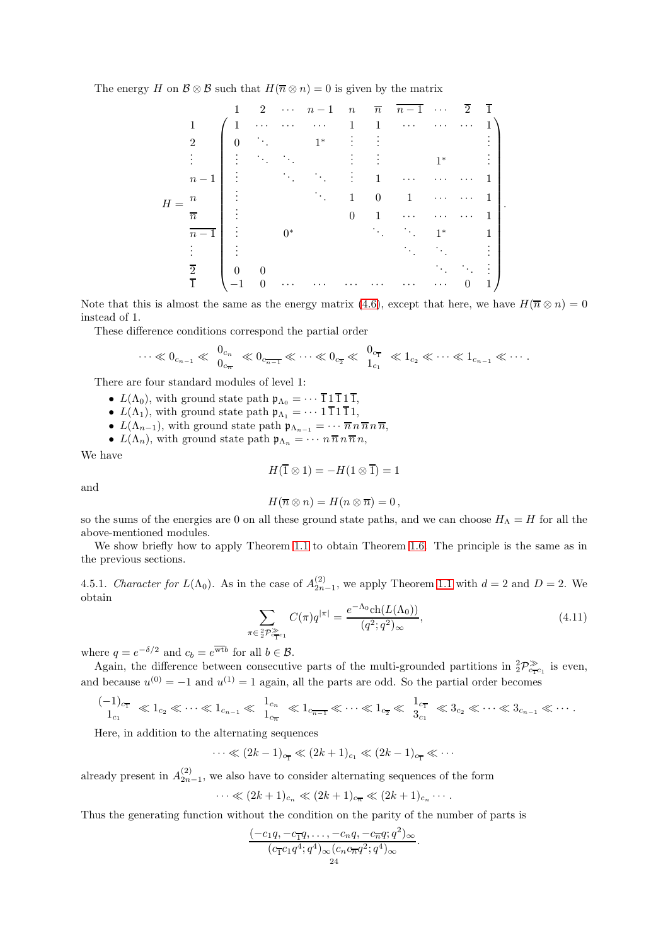The energy H on  $\mathcal{B} \otimes \mathcal{B}$  such that  $H(\overline{n} \otimes n) = 0$  is given by the matrix

$$
H = \frac{n}{\frac{1}{n-1}} \begin{pmatrix} 1 & 2 & \cdots & n-1 & n & \overline{n} & \overline{n-1} & \cdots & \overline{2} & \overline{1} \\ 1 & 1 & \cdots & \cdots & \cdots & 1 & 1 & \cdots & \cdots & \cdots & 1 \\ 0 & \ddots & & 1^* & \vdots & \vdots & & & & & \vdots \\ \vdots & \ddots & \ddots & & \vdots & \vdots & & 1^* & & \vdots \\ \vdots & & & \ddots & & \vdots & 1 & \cdots & \cdots & \cdots & 1 \\ 0 & 1 & \cdots & \cdots & \cdots & 1 & & & & \vdots \\ \vdots & & & & 0 & 1 & \cdots & \cdots & 1^* & & 1 \\ \overline{n-1} & \vdots & & 0^* & & & \ddots & \ddots & 1^* & 1 \\ \vdots & & & & & & \ddots & \ddots & \vdots \\ \overline{2} & 0 & 0 & & & & & \ddots & \ddots & \vdots \\ \overline{1} & -1 & 0 & \cdots & \cdots & \cdots & \cdots & \cdots & \cdots & \cdots & 0 & 1 \end{pmatrix}.
$$

Note that this is almost the same as the energy matrix [\(4.6\)](#page-18-2), except that here, we have  $H(\overline{n} \otimes n) = 0$ instead of 1.

These difference conditions correspond the partial order

$$
\cdots \ll 0_{c_{n-1}} \ll \frac{0_{c_n}}{0_{c_n}} \ll 0_{c_{n-1}} \ll \cdots \ll 0_{c_2} \ll \frac{0_{c_1}}{1_{c_1}} \ll 1_{c_2} \ll \cdots \ll 1_{c_{n-1}} \ll \cdots
$$

There are four standard modules of level 1:

- $L(\Lambda_0)$ , with ground state path  $\mathfrak{p}_{\Lambda_0} = \cdots \overline{1} 1 \overline{1} 1 \overline{1}$ ,
- $L(\Lambda_1)$ , with ground state path  $\mathfrak{p}_{\Lambda_1} = \cdots 1 \overline{1} 1 \overline{1} 1$ ,
- $L(\Lambda_{n-1})$ , with ground state path  $\mathfrak{p}_{\Lambda_{n-1}} = \cdots \overline{n} \, n \, \overline{n} \, n \, \overline{n}$ ,
- $L(\Lambda_n)$ , with ground state path  $\mathfrak{p}_{\Lambda_n} = \cdots n \overline{n} n \overline{n} n$ ,

We have

$$
H(\overline{1}\otimes 1) = -H(1\otimes \overline{1}) = 1
$$

and

$$
H(\overline{n}\otimes n)=H(n\otimes \overline{n})=0,
$$

so the sums of the energies are 0 on all these ground state paths, and we can choose  $H_{\Lambda} = H$  for all the above-mentioned modules.

We show briefly how to apply Theorem [1.1](#page-2-0) to obtain Theorem [1.6.](#page-3-0) The principle is the same as in the previous sections.

4.5.1. Character for  $L(\Lambda_0)$ . As in the case of  $A_{2n-1}^{(2)}$ , we apply Theorem [1.1](#page-2-0) with  $d=2$  and  $D=2$ . We obtain

<span id="page-23-0"></span>
$$
\sum_{\pi \in 2\mathcal{P}_{c_{\mathcal{T}c_1}}^{\gg}} C(\pi) q^{|\pi|} = \frac{e^{-\Lambda_0} \mathrm{ch}(L(\Lambda_0))}{(q^2; q^2)_{\infty}},\tag{4.11}
$$

where  $q = e^{-\delta/2}$  and  $c_b = e^{\overline{\text{wt}}b}$  for all  $b \in \mathcal{B}$ .

Again, the difference between consecutive parts of the multi-grounded partitions in  ${}_{2}^{2}\mathcal{P}_{c_{\text{TC1}}}^{\gg}$  is even, and because  $u^{(0)} = -1$  and  $u^{(1)} = 1$  again, all the parts are odd. So the partial order becomes

$$
\frac{(-1)_{c_{\overline{1}}}}{1_{c_1}} \ll 1_{c_2} \ll \cdots \ll 1_{c_{n-1}} \ll \frac{1_{c_n}}{1_{c_{\overline{n}}}} \ll 1_{c_{\overline{n-1}}} \ll \cdots \ll 1_{c_{\overline{2}}} \ll \frac{1_{c_{\overline{1}}}}{3_{c_1}} \ll 3_{c_2} \ll \cdots \ll 3_{c_{n-1}} \ll \cdots
$$

Here, in addition to the alternating sequences

$$
\cdots \ll (2k-1)_{c_{\overline{1}}} \ll (2k+1)_{c_1} \ll (2k-1)_{c_{\overline{1}}} \ll \cdots
$$

already present in  $A_{2n-1}^{(2)}$ , we also have to consider alternating sequences of the form

 $\cdots \ll (2k+1)_{c_n} \ll (2k+1)_{c_{\overline{n}}} \ll (2k+1)_{c_n} \cdots$ .

Thus the generating function without the condition on the parity of the number of parts is

$$
\frac{(-c_1q, -c_{\overline{1}}q, \dots, -c_nq, -c_{\overline{n}}q; q^2)_{\infty}}{(c_{\overline{1}}c_1q^4; q^4)_{\infty}(c_n c_{\overline{n}}q^2; q^4)_{\infty}}{q^4}.
$$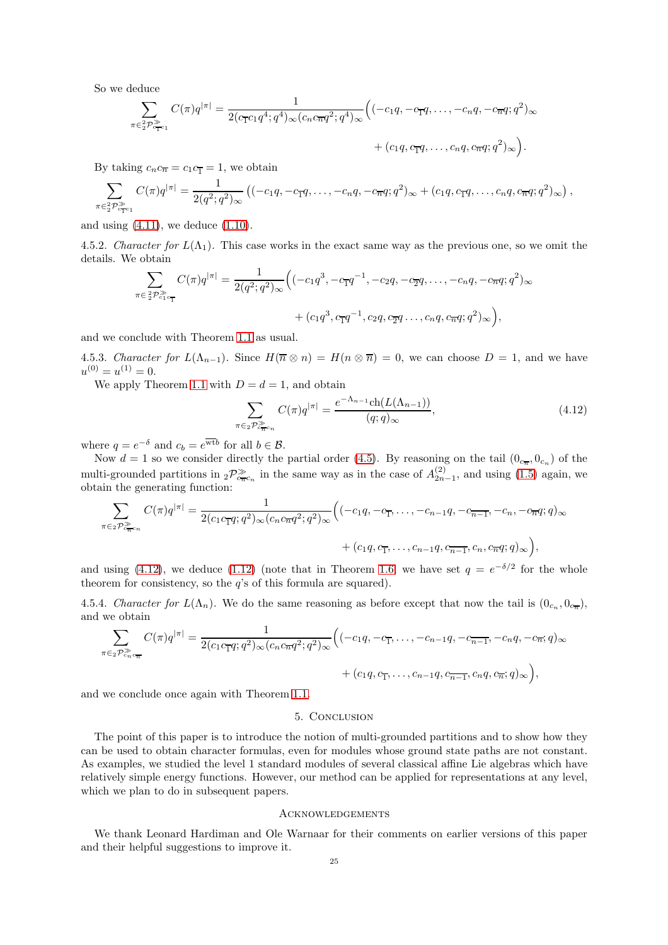So we deduce

$$
\sum_{\pi \in \frac{2}{2} \mathcal{P}_{c_{\mathbf{T}}^{c_{1}}}^{\geq} C(\pi) q^{|\pi|} = \frac{1}{2(c_{\mathbf{T}}^{c_{1}} q^{4}; q^{4})_{\infty} (c_{n} c_{\overline{n}} q^{2}; q^{4})_{\infty}} \Big( (-c_{1}q, -c_{\mathbf{T}}q, \dots, -c_{n}q, -c_{\overline{n}}q; q^{2})_{\infty} + (c_{1}q, c_{\mathbf{T}}q, \dots, c_{n}q, c_{\overline{n}}q; q^{2})_{\infty} \Big).
$$

By taking  $c_n c_{\overline{n}} = c_1 c_{\overline{n}} = 1$ , we obtain

$$
\sum_{\pi \in 2^2 \mathcal{P}_{c_1 c_1}^{\gg}} C(\pi) q^{|\pi|} = \frac{1}{2(q^2; q^2)_{\infty}} \left( (-c_1 q, -c_1 q, \dots, -c_n q, -c_n q; q^2)_{\infty} + (c_1 q, c_1 q, \dots, c_n q, c_n q; q^2)_{\infty} \right),
$$

and using  $(4.11)$ , we deduce  $(1.10)$ .

4.5.2. Character for  $L(\Lambda_1)$ . This case works in the exact same way as the previous one, so we omit the details. We obtain

$$
\sum_{\pi \in \frac{2}{2}\mathcal{P}_{c_1 c_1}^{\gg}} C(\pi)q^{|\pi|} = \frac{1}{2(q^2;q^2)_{\infty}} \Big( (-c_1q^3, -c_1q^{-1}, -c_2q, -c_2q, \dots, -c_nq, -c_nq; q^2)_{\infty} + (c_1q^3, c_1q^{-1}, c_2q, c_2q \dots, c_nq, c_nq; q^2)_{\infty} \Big),
$$

and we conclude with Theorem [1.1](#page-2-0) as usual.

4.5.3. Character for  $L(\Lambda_{n-1})$ . Since  $H(\overline{n} \otimes n) = H(n \otimes \overline{n}) = 0$ , we can choose  $D = 1$ , and we have  $u^{(0)} = u^{(1)} = 0.$ 

We apply Theorem [1.1](#page-2-0) with  $D = d = 1$ , and obtain

<span id="page-24-0"></span>
$$
\sum_{\pi \in 2\mathcal{P}_{\epsilon_{\pi}c_n}^{\geq} C(\pi)q^{|\pi|} = \frac{e^{-\Lambda_{n-1}} \text{ch}(L(\Lambda_{n-1}))}{(q;q)_{\infty}},\tag{4.12}
$$

where  $q = e^{-\delta}$  and  $c_b = e^{\overline{\text{wt}} b}$  for all  $b \in \mathcal{B}$ .

Now  $d = 1$  so we consider directly the partial order [\(4.5\)](#page-22-1). By reasoning on the tail  $(0_{c_n}, 0_{c_n})$  of the multi-grounded partitions in  $_{2}\mathcal{P}_{c_{\overline{n}}c_{n}}^{\gg}$  in the same way as in the case of  $A_{2n-1}^{(2)}$ , and using [\(1.5\)](#page-3-2) again, we obtain the generating function:

$$
\sum_{\pi \in 2\mathcal{P}_{c_{\pi c_n}}^{\geq} } C(\pi) q^{|\pi|} = \frac{1}{2(c_1 c_{\overline{1}} q; q^2)_{\infty} (c_n c_{\overline{n}} q^2; q^2)_{\infty}} \Big( (-c_1 q, -c_{\overline{1}}, \dots, -c_{n-1} q, -c_{\overline{n-1}}, -c_n, -c_{\overline{n}} q; q)_{\infty} + (c_1 q, c_{\overline{1}}, \dots, c_{n-1} q, c_{\overline{n-1}}, c_n, c_{\overline{n}} q; q)_{\infty} \Big),
$$

and using [\(4.12\)](#page-24-0), we deduce [\(1.12\)](#page-4-3) (note that in Theorem [1.6,](#page-3-0) we have set  $q = e^{-\delta/2}$  for the whole theorem for consistency, so the  $q$ 's of this formula are squared).

4.5.4. Character for  $L(\Lambda_n)$ . We do the same reasoning as before except that now the tail is  $(0_{c_n}, 0_{c_n})$ , and we obtain

$$
\sum_{\pi \in 2\mathcal{P}_{c_n c_{\overline{n}}}^{\geq} C(\pi)q^{|\pi|} = \frac{1}{2(c_1c_{\overline{1}}q;q^2)_{\infty}(c_n c_{\overline{n}}q^2;q^2)_{\infty}} \Big( (-c_1q, -c_{\overline{1}}, \dots, -c_{n-1}q, -c_{\overline{n-1}}, -c_nq, -c_{\overline{n}}; q)_{\infty} + (c_1q, c_{\overline{1}}, \dots, c_{n-1}q, c_{\overline{n-1}}, c_nq, c_{\overline{n}}; q)_{\infty} \Big),
$$

and we conclude once again with Theorem [1.1.](#page-2-0)

## 5. Conclusion

The point of this paper is to introduce the notion of multi-grounded partitions and to show how they can be used to obtain character formulas, even for modules whose ground state paths are not constant. As examples, we studied the level 1 standard modules of several classical affine Lie algebras which have relatively simple energy functions. However, our method can be applied for representations at any level, which we plan to do in subsequent papers.

### **ACKNOWLEDGEMENTS**

We thank Leonard Hardiman and Ole Warnaar for their comments on earlier versions of this paper and their helpful suggestions to improve it.